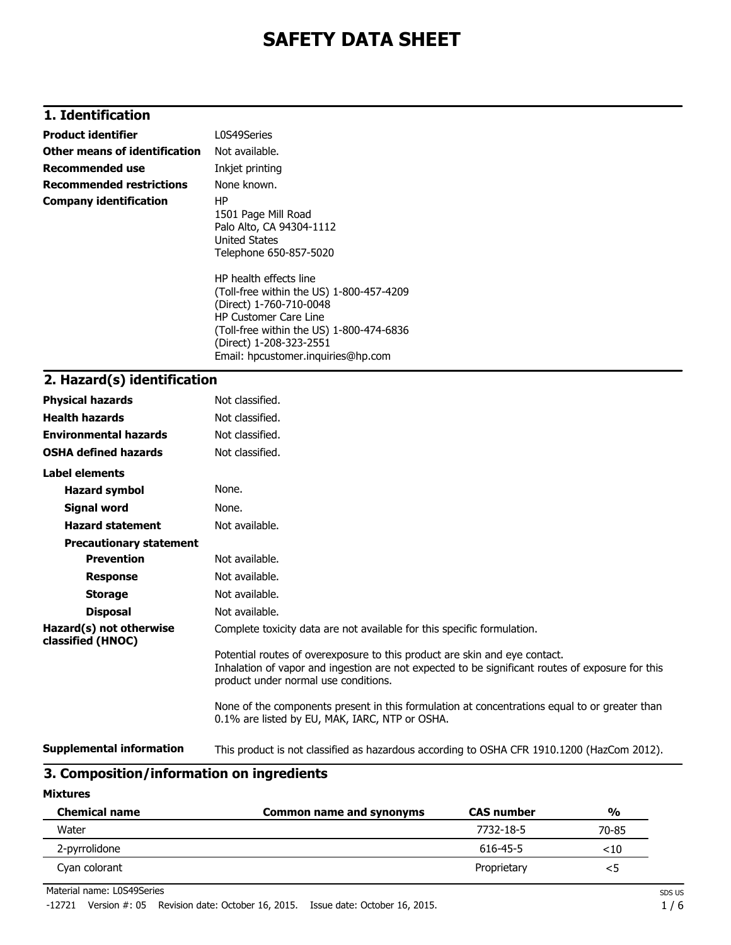# **1. Identification**

| <b>Product identifier</b>       | L0S49Series                                                                                                                                                                                                                                                                                              |
|---------------------------------|----------------------------------------------------------------------------------------------------------------------------------------------------------------------------------------------------------------------------------------------------------------------------------------------------------|
| Other means of identification   | Not available.                                                                                                                                                                                                                                                                                           |
| <b>Recommended use</b>          | Inkjet printing                                                                                                                                                                                                                                                                                          |
| <b>Recommended restrictions</b> | None known.                                                                                                                                                                                                                                                                                              |
| <b>Company identification</b>   | ΗP<br>1501 Page Mill Road<br>Palo Alto, CA 94304-1112<br>United States<br>Telephone 650-857-5020<br>HP health effects line<br>(Toll-free within the US) 1-800-457-4209<br>(Direct) 1-760-710-0048<br><b>HP Customer Care Line</b><br>(Toll-free within the US) 1-800-474-6836<br>(Direct) 1-208-323-2551 |
|                                 | Email: hpcustomer.inquiries@hp.com                                                                                                                                                                                                                                                                       |
| วิ เปละลอฟ/ล\ ¦ฟอนLifiaaLiau    |                                                                                                                                                                                                                                                                                                          |

### **2. Hazard(s) identification**

| <b>Physical hazards</b>                      | Not classified.                                                                                                                                                                                                        |
|----------------------------------------------|------------------------------------------------------------------------------------------------------------------------------------------------------------------------------------------------------------------------|
| <b>Health hazards</b>                        | Not classified.                                                                                                                                                                                                        |
| <b>Environmental hazards</b>                 | Not classified.                                                                                                                                                                                                        |
| <b>OSHA defined hazards</b>                  | Not classified.                                                                                                                                                                                                        |
| Label elements                               |                                                                                                                                                                                                                        |
| <b>Hazard symbol</b>                         | None.                                                                                                                                                                                                                  |
| <b>Signal word</b>                           | None.                                                                                                                                                                                                                  |
| <b>Hazard statement</b>                      | Not available.                                                                                                                                                                                                         |
| <b>Precautionary statement</b>               |                                                                                                                                                                                                                        |
| <b>Prevention</b>                            | Not available.                                                                                                                                                                                                         |
| <b>Response</b>                              | Not available.                                                                                                                                                                                                         |
| <b>Storage</b>                               | Not available.                                                                                                                                                                                                         |
| <b>Disposal</b>                              | Not available.                                                                                                                                                                                                         |
| Hazard(s) not otherwise<br>classified (HNOC) | Complete toxicity data are not available for this specific formulation.                                                                                                                                                |
|                                              | Potential routes of overexposure to this product are skin and eye contact.<br>Inhalation of vapor and ingestion are not expected to be significant routes of exposure for this<br>product under normal use conditions. |
|                                              | None of the components present in this formulation at concentrations equal to or greater than<br>0.1% are listed by EU, MAK, IARC, NTP or OSHA.                                                                        |
| <b>Supplemental information</b>              | This product is not classified as hazardous according to OSHA CFR 1910.1200 (HazCom 2012).                                                                                                                             |

# **3. Composition/information on ingredients**

#### **Mixtures**

| <b>Chemical name</b> | <b>Common name and synonyms</b> | <b>CAS number</b> | %       |
|----------------------|---------------------------------|-------------------|---------|
| Water                |                                 | 7732-18-5         | 70-85   |
| 2-pyrrolidone        |                                 | 616-45-5          | ${<}10$ |
| Cyan colorant        |                                 | Proprietary       | <5      |

Material name: L0S49Series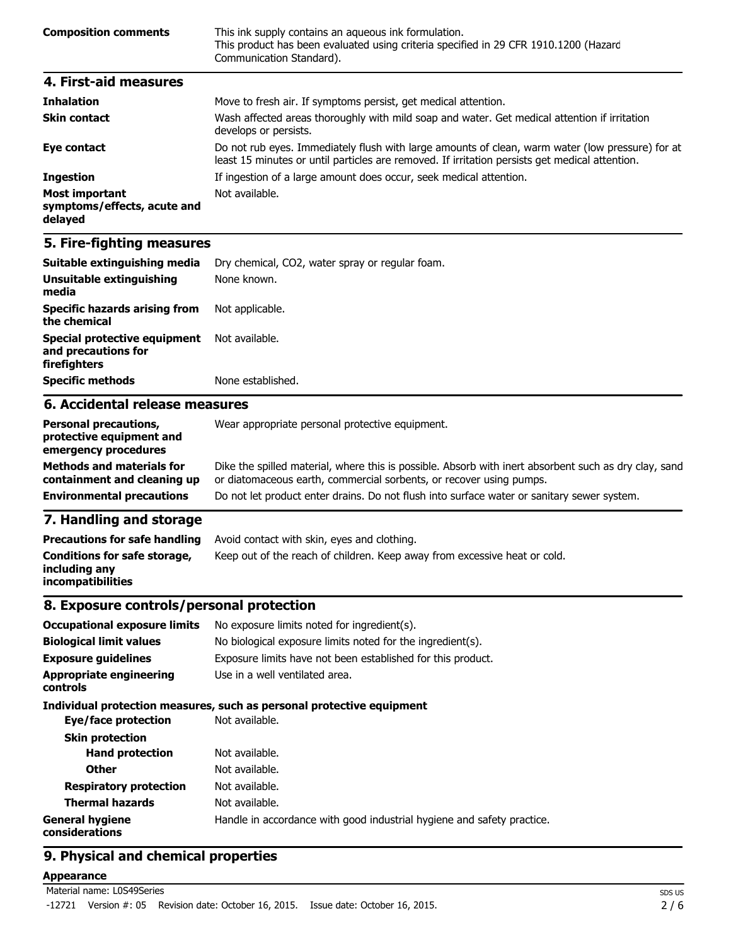| <b>Composition comments</b> | This ink supply contains an aqueous ink formulation.<br>This product has been evaluated using criteria specified in 29 CFR 1910.1200 (Hazard<br>Communication Standard). |
|-----------------------------|--------------------------------------------------------------------------------------------------------------------------------------------------------------------------|
| 4. First-aid measures       |                                                                                                                                                                          |
| <b>Inhalation</b>           | Move to fresh air. If symptoms persist not medical attention                                                                                                             |

| THIRROUN                                                        | <u>riove</u> to fresh all. If symptoms persist, get medical attention.                                                                                                                             |
|-----------------------------------------------------------------|----------------------------------------------------------------------------------------------------------------------------------------------------------------------------------------------------|
| <b>Skin contact</b>                                             | Wash affected areas thoroughly with mild soap and water. Get medical attention if irritation<br>develops or persists.                                                                              |
| Eye contact                                                     | Do not rub eyes. Immediately flush with large amounts of clean, warm water (low pressure) for at<br>least 15 minutes or until particles are removed. If irritation persists get medical attention. |
| <b>Ingestion</b>                                                | If ingestion of a large amount does occur, seek medical attention.                                                                                                                                 |
| <b>Most important</b><br>symptoms/effects, acute and<br>delayed | Not available.                                                                                                                                                                                     |

| Suitable extinguishing media                                               | Dry chemical, CO2, water spray or regular foam. |
|----------------------------------------------------------------------------|-------------------------------------------------|
| Unsuitable extinguishing<br>media                                          | None known.                                     |
| <b>Specific hazards arising from</b><br>the chemical                       | Not applicable.                                 |
| <b>Special protective equipment</b><br>and precautions for<br>firefighters | Not available.                                  |
| <b>Specific methods</b>                                                    | None established.                               |
| 6. Accidental release measures                                             |                                                 |

#### **Personal precautions, protective equipment and emergency procedures** Wear appropriate personal protective equipment. **Methods and materials for containment and cleaning up** Dike the spilled material, where this is possible. Absorb with inert absorbent such as dry clay, sand or diatomaceous earth, commercial sorbents, or recover using pumps. **Environmental precautions** Do not let product enter drains. Do not flush into surface water or sanitary sewer system.

### **7. Handling and storage**

| <b>Precautions for safe handling</b>                                      | Avoid contact with skin, eyes and clothing.                               |
|---------------------------------------------------------------------------|---------------------------------------------------------------------------|
| Conditions for safe storage,<br>including any<br><b>incompatibilities</b> | Keep out of the reach of children. Keep away from excessive heat or cold. |

### **8. Exposure controls/personal protection**

| <b>Occupational exposure limits</b>        | No exposure limits noted for ingredient(s).                            |
|--------------------------------------------|------------------------------------------------------------------------|
| <b>Biological limit values</b>             | No biological exposure limits noted for the ingredient(s).             |
| <b>Exposure guidelines</b>                 | Exposure limits have not been established for this product.            |
| <b>Appropriate engineering</b><br>controls | Use in a well ventilated area.                                         |
|                                            | Individual protection measures, such as personal protective equipment  |
| Eye/face protection                        | Not available.                                                         |
| <b>Skin protection</b>                     |                                                                        |
| <b>Hand protection</b>                     | Not available.                                                         |
| <b>Other</b>                               | Not available.                                                         |
| <b>Respiratory protection</b>              | Not available.                                                         |
| <b>Thermal hazards</b>                     | Not available.                                                         |
| <b>General hygiene</b><br>considerations   | Handle in accordance with good industrial hygiene and safety practice. |

## **9. Physical and chemical properties**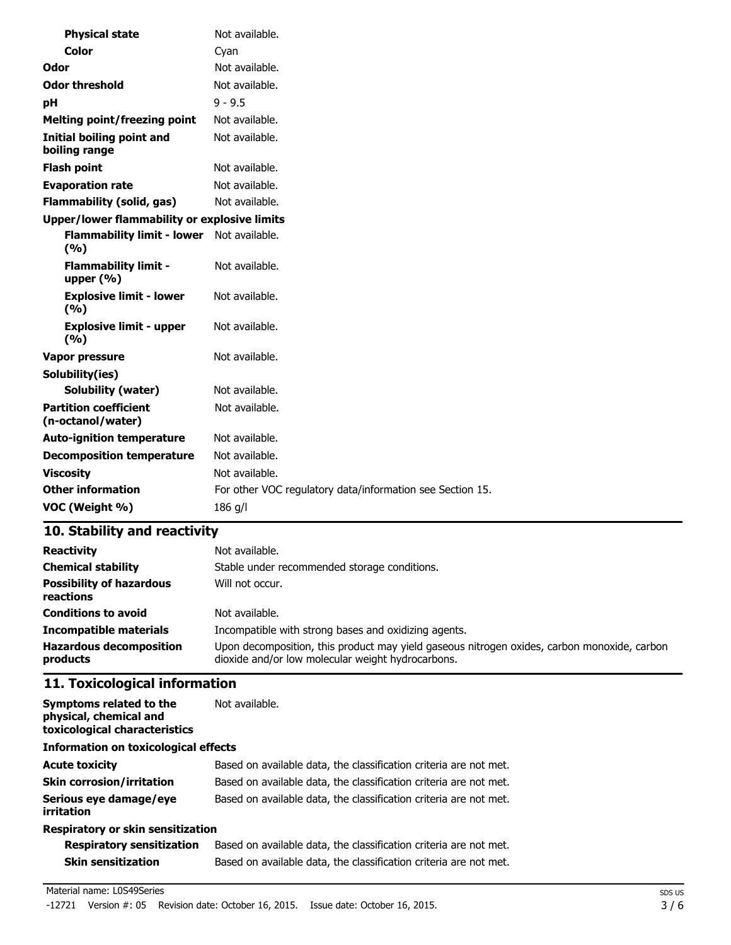| <b>Physical state</b>                               | Not available.                                            |
|-----------------------------------------------------|-----------------------------------------------------------|
| <b>Color</b>                                        | Cyan                                                      |
| Odor                                                | Not available.                                            |
| <b>Odor threshold</b>                               | Not available.                                            |
| рH                                                  | $9 - 9.5$                                                 |
| <b>Melting point/freezing point</b>                 | Not available.                                            |
| Initial boiling point and<br>boiling range          | Not available.                                            |
| <b>Flash point</b>                                  | Not available.                                            |
| <b>Evaporation rate</b>                             | Not available.                                            |
| <b>Flammability (solid, gas)</b>                    | Not available.                                            |
| <b>Upper/lower flammability or explosive limits</b> |                                                           |
| <b>Flammability limit - lower</b><br>(%)            | Not available.                                            |
| <b>Flammability limit -</b><br>upper $(% )$         | Not available.                                            |
| <b>Explosive limit - lower</b><br>(9/6)             | Not available.                                            |
| <b>Explosive limit - upper</b><br>(9/6)             | Not available.                                            |
| Vapor pressure                                      | Not available.                                            |
| Solubility(ies)                                     |                                                           |
| <b>Solubility (water)</b>                           | Not available.                                            |
| <b>Partition coefficient</b><br>(n-octanol/water)   | Not available.                                            |
| <b>Auto-ignition temperature</b>                    | Not available.                                            |
| <b>Decomposition temperature</b>                    | Not available.                                            |
| <b>Viscosity</b>                                    | Not available.                                            |
| <b>Other information</b>                            | For other VOC regulatory data/information see Section 15. |
| VOC (Weight %)                                      | $186$ g/l                                                 |

| <b>Reactivity</b>                            | Not available.                                                                                                                                   |
|----------------------------------------------|--------------------------------------------------------------------------------------------------------------------------------------------------|
| <b>Chemical stability</b>                    | Stable under recommended storage conditions.                                                                                                     |
| <b>Possibility of hazardous</b><br>reactions | Will not occur.                                                                                                                                  |
| <b>Conditions to avoid</b>                   | Not available.                                                                                                                                   |
| <b>Incompatible materials</b>                | Incompatible with strong bases and oxidizing agents.                                                                                             |
| <b>Hazardous decomposition</b><br>products   | Upon decomposition, this product may yield gaseous nitrogen oxides, carbon monoxide, carbon<br>dioxide and/or low molecular weight hydrocarbons. |

# **11. Toxicological information**

| Symptoms related to the<br>physical, chemical and<br>toxicological characteristics | Not available.                                                    |
|------------------------------------------------------------------------------------|-------------------------------------------------------------------|
| <b>Information on toxicological effects</b>                                        |                                                                   |
| <b>Acute toxicity</b>                                                              | Based on available data, the classification criteria are not met. |
| <b>Skin corrosion/irritation</b>                                                   | Based on available data, the classification criteria are not met. |
| Serious eye damage/eye<br>irritation                                               | Based on available data, the classification criteria are not met. |
| Respiratory or skin sensitization                                                  |                                                                   |

| <b>Respiratory sensitization</b> | Based on available data, the classification criteria are not met. |
|----------------------------------|-------------------------------------------------------------------|
| <b>Skin sensitization</b>        | Based on available data, the classification criteria are not met. |

#### Material name: L0S49Series

-12721 Version #: 05 Revision date: October 16, 2015. Issue date: October 16, 2015.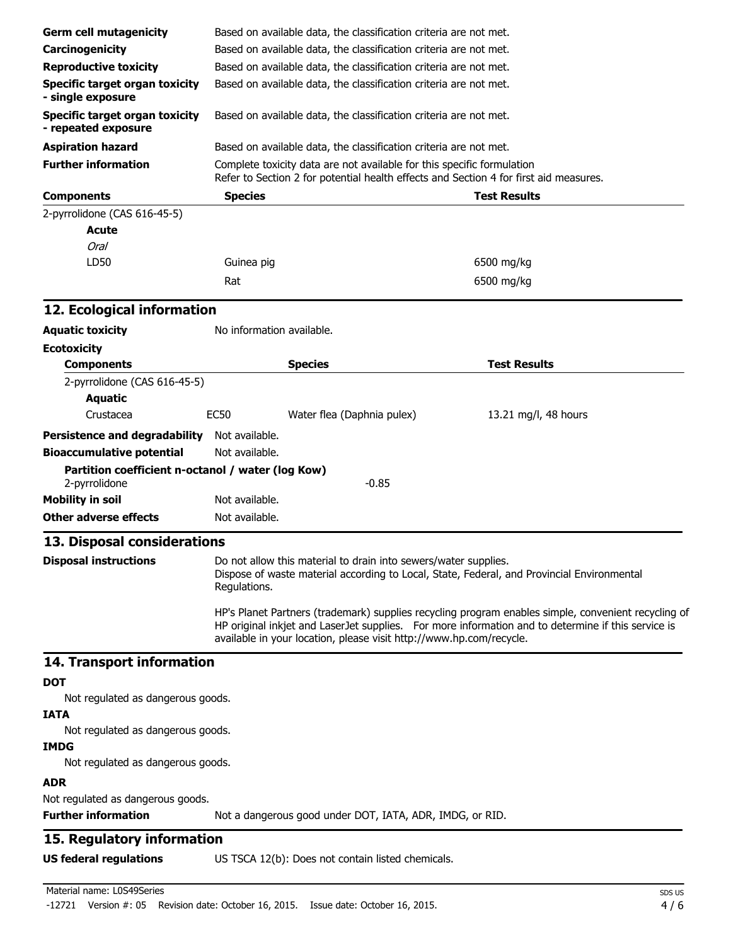| <b>Germ cell mutagenicity</b>                                                                                                                                                                                                                                                    |                                                                   | Based on available data, the classification criteria are not met.      |                                                                                            |
|----------------------------------------------------------------------------------------------------------------------------------------------------------------------------------------------------------------------------------------------------------------------------------|-------------------------------------------------------------------|------------------------------------------------------------------------|--------------------------------------------------------------------------------------------|
| Carcinogenicity                                                                                                                                                                                                                                                                  | Based on available data, the classification criteria are not met. |                                                                        |                                                                                            |
| <b>Reproductive toxicity</b>                                                                                                                                                                                                                                                     | Based on available data, the classification criteria are not met. |                                                                        |                                                                                            |
| <b>Specific target organ toxicity</b>                                                                                                                                                                                                                                            | Based on available data, the classification criteria are not met. |                                                                        |                                                                                            |
| - single exposure                                                                                                                                                                                                                                                                |                                                                   |                                                                        |                                                                                            |
| <b>Specific target organ toxicity</b><br>- repeated exposure                                                                                                                                                                                                                     |                                                                   | Based on available data, the classification criteria are not met.      |                                                                                            |
| <b>Aspiration hazard</b>                                                                                                                                                                                                                                                         |                                                                   | Based on available data, the classification criteria are not met.      |                                                                                            |
| <b>Further information</b>                                                                                                                                                                                                                                                       |                                                                   | Complete toxicity data are not available for this specific formulation | Refer to Section 2 for potential health effects and Section 4 for first aid measures.      |
| <b>Components</b>                                                                                                                                                                                                                                                                | <b>Species</b>                                                    |                                                                        | <b>Test Results</b>                                                                        |
| 2-pyrrolidone (CAS 616-45-5)                                                                                                                                                                                                                                                     |                                                                   |                                                                        |                                                                                            |
| <b>Acute</b>                                                                                                                                                                                                                                                                     |                                                                   |                                                                        |                                                                                            |
| <b>Oral</b>                                                                                                                                                                                                                                                                      |                                                                   |                                                                        |                                                                                            |
| LD50                                                                                                                                                                                                                                                                             | Guinea pig                                                        |                                                                        | 6500 mg/kg                                                                                 |
|                                                                                                                                                                                                                                                                                  | Rat                                                               |                                                                        | 6500 mg/kg                                                                                 |
| 12. Ecological information                                                                                                                                                                                                                                                       |                                                                   |                                                                        |                                                                                            |
| <b>Aquatic toxicity</b>                                                                                                                                                                                                                                                          | No information available.                                         |                                                                        |                                                                                            |
| <b>Ecotoxicity</b>                                                                                                                                                                                                                                                               |                                                                   |                                                                        |                                                                                            |
| <b>Components</b>                                                                                                                                                                                                                                                                |                                                                   | <b>Species</b>                                                         | <b>Test Results</b>                                                                        |
| 2-pyrrolidone (CAS 616-45-5)                                                                                                                                                                                                                                                     |                                                                   |                                                                        |                                                                                            |
| <b>Aquatic</b>                                                                                                                                                                                                                                                                   |                                                                   |                                                                        |                                                                                            |
| Crustacea                                                                                                                                                                                                                                                                        | <b>EC50</b>                                                       | Water flea (Daphnia pulex)                                             | 13.21 mg/l, 48 hours                                                                       |
| Persistence and degradability Not available.                                                                                                                                                                                                                                     |                                                                   |                                                                        |                                                                                            |
| <b>Bioaccumulative potential</b>                                                                                                                                                                                                                                                 | Not available.                                                    |                                                                        |                                                                                            |
| Partition coefficient n-octanol / water (log Kow)<br>2-pyrrolidone                                                                                                                                                                                                               |                                                                   | $-0.85$                                                                |                                                                                            |
| <b>Mobility in soil</b>                                                                                                                                                                                                                                                          | Not available.                                                    |                                                                        |                                                                                            |
| <b>Other adverse effects</b>                                                                                                                                                                                                                                                     | Not available.                                                    |                                                                        |                                                                                            |
| 13. Disposal considerations                                                                                                                                                                                                                                                      |                                                                   |                                                                        |                                                                                            |
| <b>Disposal instructions</b>                                                                                                                                                                                                                                                     | Regulations.                                                      | Do not allow this material to drain into sewers/water supplies.        | Dispose of waste material according to Local, State, Federal, and Provincial Environmental |
| HP's Planet Partners (trademark) supplies recycling program enables simple, convenient recycling of<br>HP original inkjet and LaserJet supplies. For more information and to determine if this service is<br>available in your location, please visit http://www.hp.com/recycle. |                                                                   |                                                                        |                                                                                            |
| 14. Transport information                                                                                                                                                                                                                                                        |                                                                   |                                                                        |                                                                                            |
| <b>DOT</b>                                                                                                                                                                                                                                                                       |                                                                   |                                                                        |                                                                                            |
| Not regulated as dangerous goods.                                                                                                                                                                                                                                                |                                                                   |                                                                        |                                                                                            |
| <b>IATA</b>                                                                                                                                                                                                                                                                      |                                                                   |                                                                        |                                                                                            |
| Not regulated as dangerous goods.                                                                                                                                                                                                                                                |                                                                   |                                                                        |                                                                                            |
| <b>IMDG</b>                                                                                                                                                                                                                                                                      |                                                                   |                                                                        |                                                                                            |
| Not regulated as dangerous goods.                                                                                                                                                                                                                                                |                                                                   |                                                                        |                                                                                            |
| <b>ADR</b>                                                                                                                                                                                                                                                                       |                                                                   |                                                                        |                                                                                            |
| Not regulated as dangerous goods.                                                                                                                                                                                                                                                |                                                                   |                                                                        |                                                                                            |
| <b>Further information</b>                                                                                                                                                                                                                                                       |                                                                   | Not a dangerous good under DOT, IATA, ADR, IMDG, or RID.               |                                                                                            |
| 15. Regulatory information                                                                                                                                                                                                                                                       |                                                                   |                                                                        |                                                                                            |
| <b>US federal regulations</b>                                                                                                                                                                                                                                                    |                                                                   | US TSCA 12(b): Does not contain listed chemicals.                      |                                                                                            |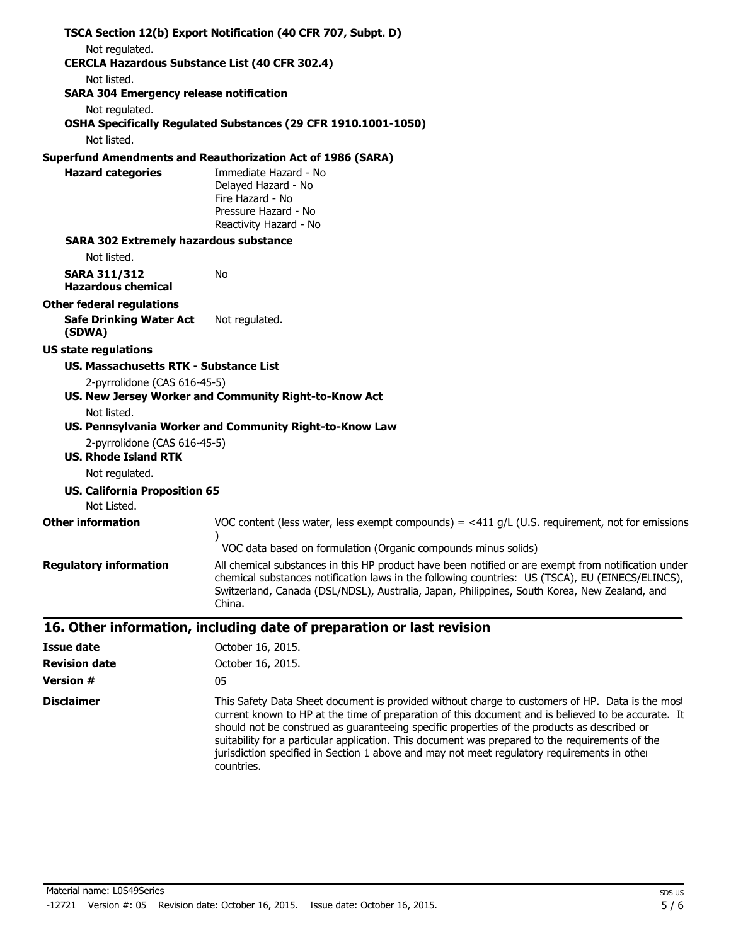|                                                       | TSCA Section 12(b) Export Notification (40 CFR 707, Subpt. D)                                                                                                                                                                                                                                                     |
|-------------------------------------------------------|-------------------------------------------------------------------------------------------------------------------------------------------------------------------------------------------------------------------------------------------------------------------------------------------------------------------|
| Not regulated.                                        |                                                                                                                                                                                                                                                                                                                   |
| <b>CERCLA Hazardous Substance List (40 CFR 302.4)</b> |                                                                                                                                                                                                                                                                                                                   |
| Not listed.                                           |                                                                                                                                                                                                                                                                                                                   |
| <b>SARA 304 Emergency release notification</b>        |                                                                                                                                                                                                                                                                                                                   |
| Not regulated.                                        | OSHA Specifically Regulated Substances (29 CFR 1910.1001-1050)                                                                                                                                                                                                                                                    |
| Not listed.                                           |                                                                                                                                                                                                                                                                                                                   |
|                                                       | <b>Superfund Amendments and Reauthorization Act of 1986 (SARA)</b>                                                                                                                                                                                                                                                |
| <b>Hazard categories</b>                              | Immediate Hazard - No                                                                                                                                                                                                                                                                                             |
|                                                       | Delayed Hazard - No                                                                                                                                                                                                                                                                                               |
|                                                       | Fire Hazard - No                                                                                                                                                                                                                                                                                                  |
|                                                       | Pressure Hazard - No                                                                                                                                                                                                                                                                                              |
|                                                       | Reactivity Hazard - No                                                                                                                                                                                                                                                                                            |
| <b>SARA 302 Extremely hazardous substance</b>         |                                                                                                                                                                                                                                                                                                                   |
| Not listed.                                           |                                                                                                                                                                                                                                                                                                                   |
| <b>SARA 311/312</b><br><b>Hazardous chemical</b>      | No                                                                                                                                                                                                                                                                                                                |
| <b>Other federal regulations</b>                      |                                                                                                                                                                                                                                                                                                                   |
| <b>Safe Drinking Water Act</b><br>(SDWA)              | Not regulated.                                                                                                                                                                                                                                                                                                    |
| <b>US state regulations</b>                           |                                                                                                                                                                                                                                                                                                                   |
| US. Massachusetts RTK - Substance List                |                                                                                                                                                                                                                                                                                                                   |
| 2-pyrrolidone (CAS 616-45-5)                          |                                                                                                                                                                                                                                                                                                                   |
|                                                       | US. New Jersey Worker and Community Right-to-Know Act                                                                                                                                                                                                                                                             |
| Not listed.                                           |                                                                                                                                                                                                                                                                                                                   |
|                                                       | US. Pennsylvania Worker and Community Right-to-Know Law                                                                                                                                                                                                                                                           |
| 2-pyrrolidone (CAS 616-45-5)                          |                                                                                                                                                                                                                                                                                                                   |
| <b>US. Rhode Island RTK</b>                           |                                                                                                                                                                                                                                                                                                                   |
| Not regulated.                                        |                                                                                                                                                                                                                                                                                                                   |
| <b>US. California Proposition 65</b>                  |                                                                                                                                                                                                                                                                                                                   |
| Not Listed.                                           |                                                                                                                                                                                                                                                                                                                   |
| <b>Other information</b>                              | VOC content (less water, less exempt compounds) = $\langle 411 \text{ q/L}$ (U.S. requirement, not for emissions                                                                                                                                                                                                  |
|                                                       | VOC data based on formulation (Organic compounds minus solids)                                                                                                                                                                                                                                                    |
| <b>Regulatory information</b>                         | All chemical substances in this HP product have been notified or are exempt from notification under<br>chemical substances notification laws in the following countries: US (TSCA), EU (EINECS/ELINCS),<br>Switzerland, Canada (DSL/NDSL), Australia, Japan, Philippines, South Korea, New Zealand, and<br>China. |
|                                                       | 16. Other information, including date of preparation or last revision                                                                                                                                                                                                                                             |
| <b>Issue date</b>                                     | October 16, 2015.                                                                                                                                                                                                                                                                                                 |
| <b>Revision date</b>                                  | October 16, 2015.                                                                                                                                                                                                                                                                                                 |
| <b>Version #</b>                                      | 05                                                                                                                                                                                                                                                                                                                |
|                                                       |                                                                                                                                                                                                                                                                                                                   |

**Disclaimer** This Safety Data Sheet document is provided without charge to customers of HP. Data is the most current known to HP at the time of preparation of this document and is believed to be accurate. It should not be construed as guaranteeing specific properties of the products as described or suitability for a particular application. This document was prepared to the requirements of the jurisdiction specified in Section 1 above and may not meet regulatory requirements in other countries.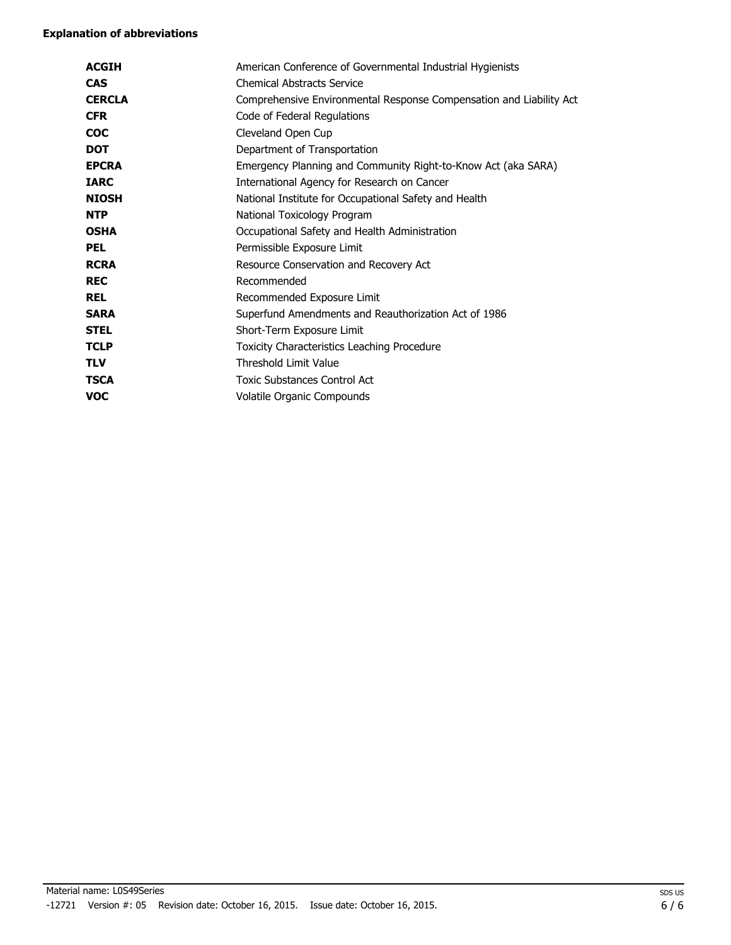| <b>ACGIH</b>  | American Conference of Governmental Industrial Hygienists           |
|---------------|---------------------------------------------------------------------|
| <b>CAS</b>    | <b>Chemical Abstracts Service</b>                                   |
| <b>CERCLA</b> | Comprehensive Environmental Response Compensation and Liability Act |
| <b>CFR</b>    | Code of Federal Regulations                                         |
| <b>COC</b>    | Cleveland Open Cup                                                  |
| <b>DOT</b>    | Department of Transportation                                        |
| <b>EPCRA</b>  | Emergency Planning and Community Right-to-Know Act (aka SARA)       |
| <b>IARC</b>   | International Agency for Research on Cancer                         |
| <b>NIOSH</b>  | National Institute for Occupational Safety and Health               |
| <b>NTP</b>    | National Toxicology Program                                         |
| <b>OSHA</b>   | Occupational Safety and Health Administration                       |
| <b>PEL</b>    | Permissible Exposure Limit                                          |
| <b>RCRA</b>   | Resource Conservation and Recovery Act                              |
| <b>REC</b>    | Recommended                                                         |
| <b>REL</b>    | Recommended Exposure Limit                                          |
| <b>SARA</b>   | Superfund Amendments and Reauthorization Act of 1986                |
| <b>STEL</b>   | Short-Term Exposure Limit                                           |
| <b>TCLP</b>   | Toxicity Characteristics Leaching Procedure                         |
| <b>TLV</b>    | Threshold Limit Value                                               |
| <b>TSCA</b>   | <b>Toxic Substances Control Act</b>                                 |
| <b>VOC</b>    | Volatile Organic Compounds                                          |
|               |                                                                     |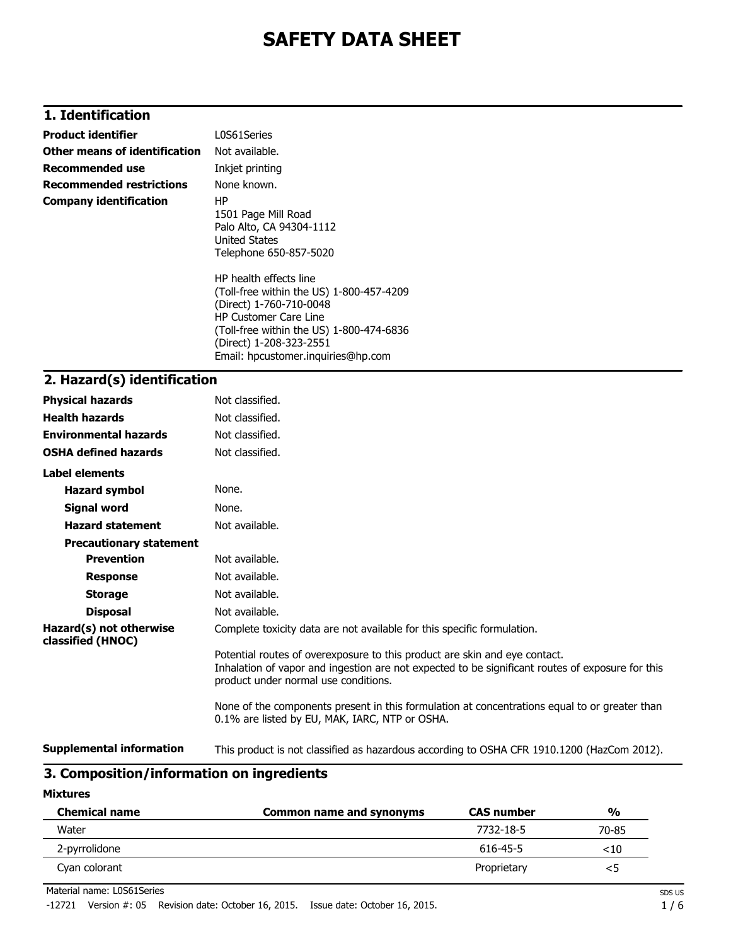# **1. Identification**

| <b>Product identifier</b>       | L0S61Series                                                                                                                                                                                                                                |  |
|---------------------------------|--------------------------------------------------------------------------------------------------------------------------------------------------------------------------------------------------------------------------------------------|--|
| Other means of identification   | Not available.                                                                                                                                                                                                                             |  |
| <b>Recommended use</b>          | Inkjet printing                                                                                                                                                                                                                            |  |
| <b>Recommended restrictions</b> | None known.                                                                                                                                                                                                                                |  |
| <b>Company identification</b>   | HP<br>1501 Page Mill Road<br>Palo Alto, CA 94304-1112<br>United States<br>Telephone 650-857-5020                                                                                                                                           |  |
|                                 | HP health effects line<br>(Toll-free within the US) 1-800-457-4209<br>(Direct) 1-760-710-0048<br><b>HP Customer Care Line</b><br>(Toll-free within the US) 1-800-474-6836<br>(Direct) 1-208-323-2551<br>Email: hpcustomer.inquiries@hp.com |  |
| 2. Hazard(s) identification     |                                                                                                                                                                                                                                            |  |

| <b>Physical hazards</b>                      | Not classified.                                                                                                                                                                                                        |
|----------------------------------------------|------------------------------------------------------------------------------------------------------------------------------------------------------------------------------------------------------------------------|
| <b>Health hazards</b>                        | Not classified.                                                                                                                                                                                                        |
| <b>Environmental hazards</b>                 | Not classified.                                                                                                                                                                                                        |
| <b>OSHA defined hazards</b>                  | Not classified.                                                                                                                                                                                                        |
| Label elements                               |                                                                                                                                                                                                                        |
| <b>Hazard symbol</b>                         | None.                                                                                                                                                                                                                  |
| Signal word                                  | None.                                                                                                                                                                                                                  |
| <b>Hazard statement</b>                      | Not available.                                                                                                                                                                                                         |
| <b>Precautionary statement</b>               |                                                                                                                                                                                                                        |
| <b>Prevention</b>                            | Not available.                                                                                                                                                                                                         |
| <b>Response</b>                              | Not available.                                                                                                                                                                                                         |
| <b>Storage</b>                               | Not available.                                                                                                                                                                                                         |
| <b>Disposal</b>                              | Not available.                                                                                                                                                                                                         |
| Hazard(s) not otherwise<br>classified (HNOC) | Complete toxicity data are not available for this specific formulation.                                                                                                                                                |
|                                              | Potential routes of overexposure to this product are skin and eye contact.<br>Inhalation of vapor and ingestion are not expected to be significant routes of exposure for this<br>product under normal use conditions. |
|                                              | None of the components present in this formulation at concentrations equal to or greater than<br>0.1% are listed by EU, MAK, IARC, NTP or OSHA.                                                                        |
| <b>Supplemental information</b>              | This product is not classified as hazardous according to OSHA CFR 1910.1200 (HazCom 2012).                                                                                                                             |

# **3. Composition/information on ingredients**

#### **Mixtures**

| <b>Chemical name</b> | <b>Common name and synonyms</b> | <b>CAS number</b> | $\frac{0}{0}$ |
|----------------------|---------------------------------|-------------------|---------------|
| Water                |                                 | 7732-18-5         | 70-85         |
| 2-pyrrolidone        |                                 | 616-45-5          | $<$ 10        |
| Cyan colorant        |                                 | Proprietary       | <5            |

Material name: L0S61Series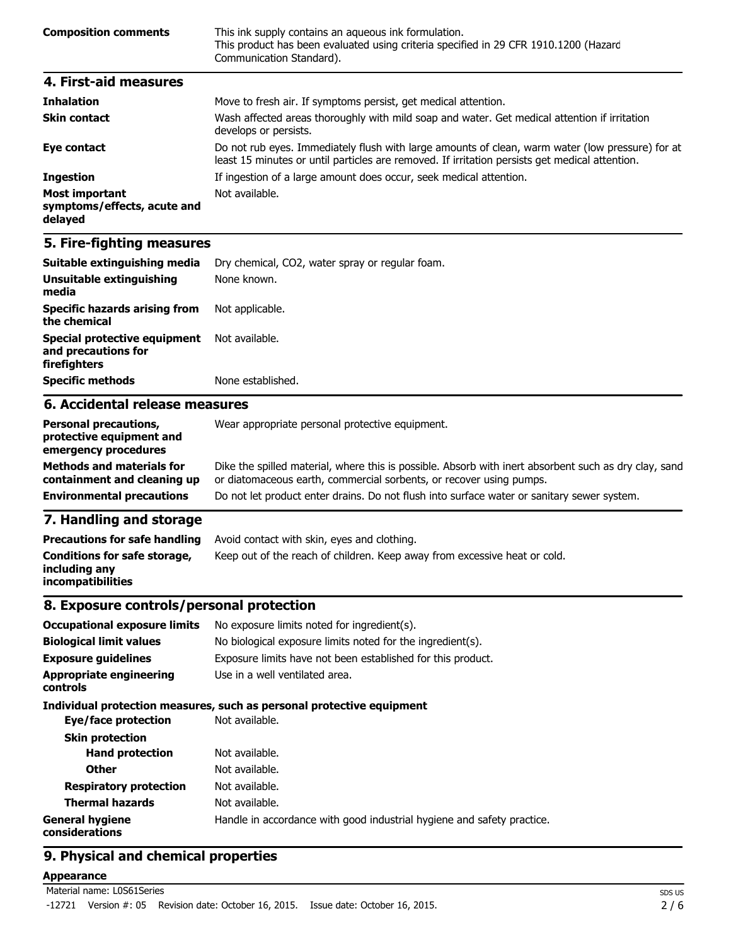| <b>Composition comments</b> | This ink supply contains an aqueous ink formulation.<br>This product has been evaluated using criteria specified in 29 CFR 1910.1200 (Hazard<br>Communication Standard). |
|-----------------------------|--------------------------------------------------------------------------------------------------------------------------------------------------------------------------|
| 4. First-aid measures       |                                                                                                                                                                          |
| <b>Teleslation</b>          | Mouse to froch air. If symptoms norsist, not modical attention                                                                                                           |

| <b>Innaiation</b>                                               | <u>MOVE to fresh air. It symptoms persist, get medical attention.</u>                                                                                                                              |
|-----------------------------------------------------------------|----------------------------------------------------------------------------------------------------------------------------------------------------------------------------------------------------|
| <b>Skin contact</b>                                             | Wash affected areas thoroughly with mild soap and water. Get medical attention if irritation<br>develops or persists.                                                                              |
| Eye contact                                                     | Do not rub eyes. Immediately flush with large amounts of clean, warm water (low pressure) for at<br>least 15 minutes or until particles are removed. If irritation persists get medical attention. |
| <b>Ingestion</b>                                                | If ingestion of a large amount does occur, seek medical attention.                                                                                                                                 |
| <b>Most important</b><br>symptoms/effects, acute and<br>delayed | Not available.                                                                                                                                                                                     |

| Benessel mosesubleme                                                | Allega gaanan sida ayaanaa lagabaabka gardanaank |  |
|---------------------------------------------------------------------|--------------------------------------------------|--|
| 6. Accidental release measures                                      |                                                  |  |
| <b>Specific methods</b>                                             | None established.                                |  |
| Special protective equipment<br>and precautions for<br>firefighters | Not available.                                   |  |
| <b>Specific hazards arising from</b><br>the chemical                | Not applicable.                                  |  |
| Unsuitable extinguishing<br>media                                   | None known.                                      |  |
| Suitable extinguishing media                                        | Dry chemical, CO2, water spray or regular foam.  |  |

| <b>Personal precautions,</b><br>protective equipment and<br>emergency procedures | Wear appropriate personal protective equipment.                                                                                                                              |
|----------------------------------------------------------------------------------|------------------------------------------------------------------------------------------------------------------------------------------------------------------------------|
| <b>Methods and materials for</b><br>containment and cleaning up                  | Dike the spilled material, where this is possible. Absorb with inert absorbent such as dry clay, sand<br>or diatomaceous earth, commercial sorbents, or recover using pumps. |
| <b>Environmental precautions</b>                                                 | Do not let product enter drains. Do not flush into surface water or sanitary sewer system.                                                                                   |
| the contract of the contract of the contract of the                              |                                                                                                                                                                              |

### **7. Handling and storage**

| <b>Precautions for safe handling</b>                                      | Avoid contact with skin, eyes and clothing.                               |
|---------------------------------------------------------------------------|---------------------------------------------------------------------------|
| Conditions for safe storage,<br>including any<br><b>incompatibilities</b> | Keep out of the reach of children. Keep away from excessive heat or cold. |

## **8. Exposure controls/personal protection**

| <b>Occupational exposure limits</b>        | No exposure limits noted for ingredient(s).                            |  |
|--------------------------------------------|------------------------------------------------------------------------|--|
| <b>Biological limit values</b>             | No biological exposure limits noted for the ingredient(s).             |  |
| <b>Exposure guidelines</b>                 | Exposure limits have not been established for this product.            |  |
| <b>Appropriate engineering</b><br>controls | Use in a well ventilated area.                                         |  |
|                                            | Individual protection measures, such as personal protective equipment  |  |
| Eye/face protection                        | Not available.                                                         |  |
| <b>Skin protection</b>                     |                                                                        |  |
| <b>Hand protection</b>                     | Not available.                                                         |  |
| <b>Other</b>                               | Not available.                                                         |  |
| <b>Respiratory protection</b>              | Not available.                                                         |  |
| <b>Thermal hazards</b>                     | Not available.                                                         |  |
| <b>General hygiene</b><br>considerations   | Handle in accordance with good industrial hygiene and safety practice. |  |

# **9. Physical and chemical properties**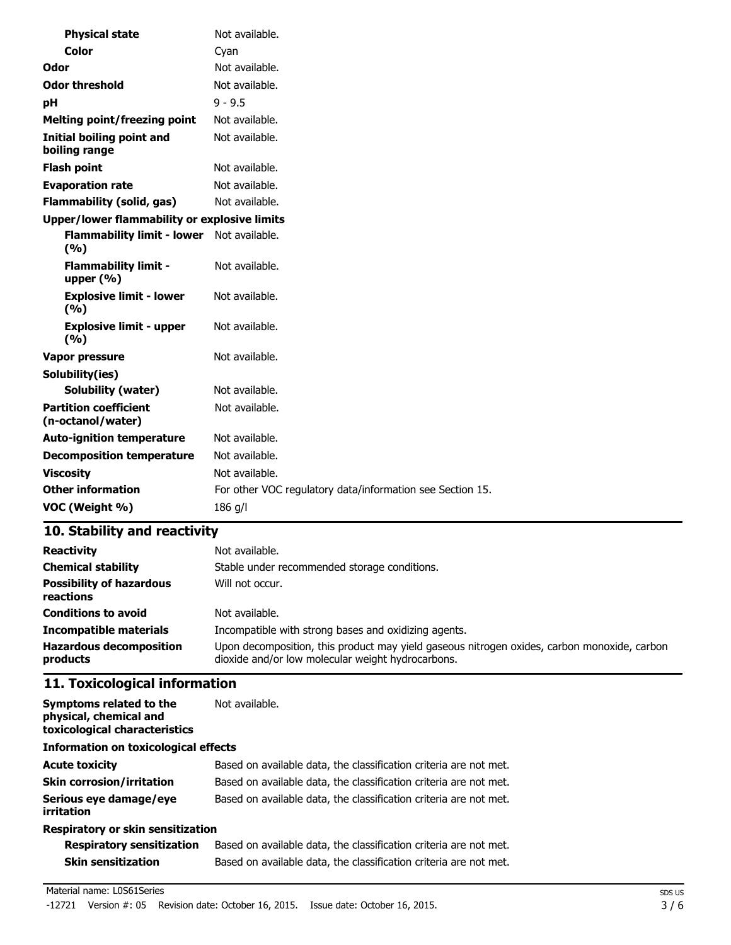| <b>Physical state</b>                             | Not available.                                            |  |
|---------------------------------------------------|-----------------------------------------------------------|--|
| <b>Color</b>                                      | Cyan                                                      |  |
| Odor                                              | Not available.                                            |  |
| <b>Odor threshold</b>                             | Not available.                                            |  |
| рH                                                | $9 - 9.5$                                                 |  |
| <b>Melting point/freezing point</b>               | Not available.                                            |  |
| <b>Initial boiling point and</b><br>boiling range | Not available.                                            |  |
| <b>Flash point</b>                                | Not available.                                            |  |
| <b>Evaporation rate</b>                           | Not available.                                            |  |
| <b>Flammability (solid, gas)</b>                  | Not available.                                            |  |
| Upper/lower flammability or explosive limits      |                                                           |  |
| <b>Flammability limit - lower</b><br>(%)          | Not available.                                            |  |
| <b>Flammability limit -</b><br>upper $(% )$       | Not available.                                            |  |
| <b>Explosive limit - lower</b><br>(%)             | Not available.                                            |  |
| <b>Explosive limit - upper</b><br>(%)             | Not available.                                            |  |
| Vapor pressure                                    | Not available.                                            |  |
| Solubility(ies)                                   |                                                           |  |
| <b>Solubility (water)</b>                         | Not available.                                            |  |
| <b>Partition coefficient</b><br>(n-octanol/water) | Not available.                                            |  |
| <b>Auto-ignition temperature</b>                  | Not available.                                            |  |
| <b>Decomposition temperature</b>                  | Not available.                                            |  |
| <b>Viscosity</b>                                  | Not available.                                            |  |
| <b>Other information</b>                          | For other VOC regulatory data/information see Section 15. |  |
| VOC (Weight %)                                    | 186 g/l                                                   |  |

| <b>Reactivity</b>                            | Not available.                                                                                                                                   |
|----------------------------------------------|--------------------------------------------------------------------------------------------------------------------------------------------------|
| <b>Chemical stability</b>                    | Stable under recommended storage conditions.                                                                                                     |
| <b>Possibility of hazardous</b><br>reactions | Will not occur.                                                                                                                                  |
| <b>Conditions to avoid</b>                   | Not available.                                                                                                                                   |
| <b>Incompatible materials</b>                | Incompatible with strong bases and oxidizing agents.                                                                                             |
| <b>Hazardous decomposition</b><br>products   | Upon decomposition, this product may yield gaseous nitrogen oxides, carbon monoxide, carbon<br>dioxide and/or low molecular weight hydrocarbons. |

# **11. Toxicological information**

| Symptoms related to the<br>physical, chemical and<br>toxicological characteristics | Not available.                                                    |  |
|------------------------------------------------------------------------------------|-------------------------------------------------------------------|--|
| <b>Information on toxicological effects</b>                                        |                                                                   |  |
| <b>Acute toxicity</b>                                                              | Based on available data, the classification criteria are not met. |  |
| <b>Skin corrosion/irritation</b>                                                   | Based on available data, the classification criteria are not met. |  |
| Serious eye damage/eye<br>irritation                                               | Based on available data, the classification criteria are not met. |  |
| Respiratory or skin sensitization                                                  |                                                                   |  |

| <b>Respiratory sensitization</b> | Based on available data, the classification criteria are not met. |
|----------------------------------|-------------------------------------------------------------------|
| <b>Skin sensitization</b>        | Based on available data, the classification criteria are not met. |

#### Material name: L0S61Series

-12721 Version #: 05 Revision date: October 16, 2015. Issue date: October 16, 2015.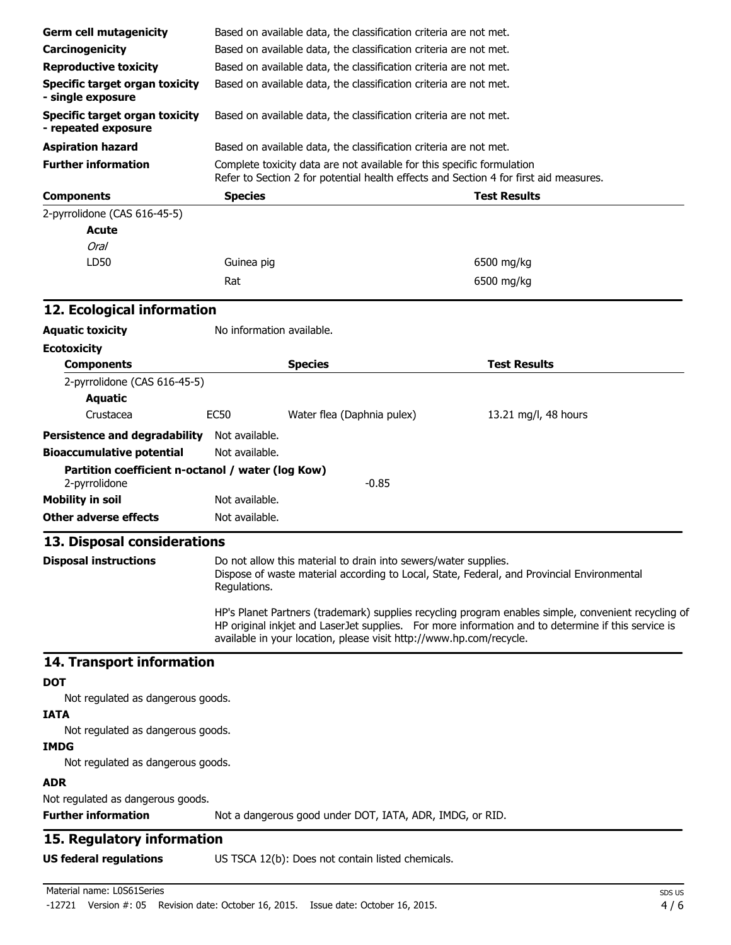| <b>Germ cell mutagenicity</b>                                      |                                                                   | Based on available data, the classification criteria are not met.      |                                                                                                                                                                                                           |
|--------------------------------------------------------------------|-------------------------------------------------------------------|------------------------------------------------------------------------|-----------------------------------------------------------------------------------------------------------------------------------------------------------------------------------------------------------|
| Carcinogenicity                                                    | Based on available data, the classification criteria are not met. |                                                                        |                                                                                                                                                                                                           |
| <b>Reproductive toxicity</b>                                       |                                                                   | Based on available data, the classification criteria are not met.      |                                                                                                                                                                                                           |
| <b>Specific target organ toxicity</b><br>- single exposure         |                                                                   | Based on available data, the classification criteria are not met.      |                                                                                                                                                                                                           |
| <b>Specific target organ toxicity</b><br>- repeated exposure       |                                                                   | Based on available data, the classification criteria are not met.      |                                                                                                                                                                                                           |
| <b>Aspiration hazard</b>                                           |                                                                   | Based on available data, the classification criteria are not met.      |                                                                                                                                                                                                           |
| <b>Further information</b>                                         |                                                                   | Complete toxicity data are not available for this specific formulation | Refer to Section 2 for potential health effects and Section 4 for first aid measures.                                                                                                                     |
| <b>Components</b>                                                  | <b>Species</b>                                                    |                                                                        | <b>Test Results</b>                                                                                                                                                                                       |
| 2-pyrrolidone (CAS 616-45-5)                                       |                                                                   |                                                                        |                                                                                                                                                                                                           |
| <b>Acute</b>                                                       |                                                                   |                                                                        |                                                                                                                                                                                                           |
| Oral                                                               |                                                                   |                                                                        |                                                                                                                                                                                                           |
| LD50                                                               | Guinea pig                                                        |                                                                        | 6500 mg/kg                                                                                                                                                                                                |
|                                                                    | Rat                                                               |                                                                        | 6500 mg/kg                                                                                                                                                                                                |
| 12. Ecological information                                         |                                                                   |                                                                        |                                                                                                                                                                                                           |
| <b>Aquatic toxicity</b>                                            | No information available.                                         |                                                                        |                                                                                                                                                                                                           |
| <b>Ecotoxicity</b>                                                 |                                                                   |                                                                        |                                                                                                                                                                                                           |
| <b>Components</b>                                                  |                                                                   | <b>Species</b>                                                         | <b>Test Results</b>                                                                                                                                                                                       |
| 2-pyrrolidone (CAS 616-45-5)                                       |                                                                   |                                                                        |                                                                                                                                                                                                           |
| <b>Aquatic</b>                                                     |                                                                   |                                                                        |                                                                                                                                                                                                           |
| Crustacea                                                          | <b>EC50</b>                                                       | Water flea (Daphnia pulex)                                             | 13.21 mg/l, 48 hours                                                                                                                                                                                      |
| Persistence and degradability Not available.                       |                                                                   |                                                                        |                                                                                                                                                                                                           |
| <b>Bioaccumulative potential</b>                                   | Not available.                                                    |                                                                        |                                                                                                                                                                                                           |
| Partition coefficient n-octanol / water (log Kow)<br>2-pyrrolidone |                                                                   | $-0.85$                                                                |                                                                                                                                                                                                           |
| <b>Mobility in soil</b>                                            | Not available.                                                    |                                                                        |                                                                                                                                                                                                           |
| <b>Other adverse effects</b>                                       | Not available.                                                    |                                                                        |                                                                                                                                                                                                           |
| 13. Disposal considerations                                        |                                                                   |                                                                        |                                                                                                                                                                                                           |
| <b>Disposal instructions</b>                                       | Regulations.                                                      | Do not allow this material to drain into sewers/water supplies.        | Dispose of waste material according to Local, State, Federal, and Provincial Environmental                                                                                                                |
|                                                                    |                                                                   | available in your location, please visit http://www.hp.com/recycle.    | HP's Planet Partners (trademark) supplies recycling program enables simple, convenient recycling of<br>HP original inkjet and LaserJet supplies. For more information and to determine if this service is |
| 14. Transport information                                          |                                                                   |                                                                        |                                                                                                                                                                                                           |
| DOT<br>Not regulated as dangerous goods.                           |                                                                   |                                                                        |                                                                                                                                                                                                           |
| <b>IATA</b>                                                        |                                                                   |                                                                        |                                                                                                                                                                                                           |
| Not regulated as dangerous goods.<br><b>IMDG</b>                   |                                                                   |                                                                        |                                                                                                                                                                                                           |
| Not regulated as dangerous goods.                                  |                                                                   |                                                                        |                                                                                                                                                                                                           |
| <b>ADR</b>                                                         |                                                                   |                                                                        |                                                                                                                                                                                                           |
| Not regulated as dangerous goods.<br><b>Further information</b>    |                                                                   | Not a dangerous good under DOT, IATA, ADR, IMDG, or RID.               |                                                                                                                                                                                                           |
| 15. Regulatory information                                         |                                                                   |                                                                        |                                                                                                                                                                                                           |
| <b>US federal regulations</b>                                      |                                                                   | US TSCA 12(b): Does not contain listed chemicals.                      |                                                                                                                                                                                                           |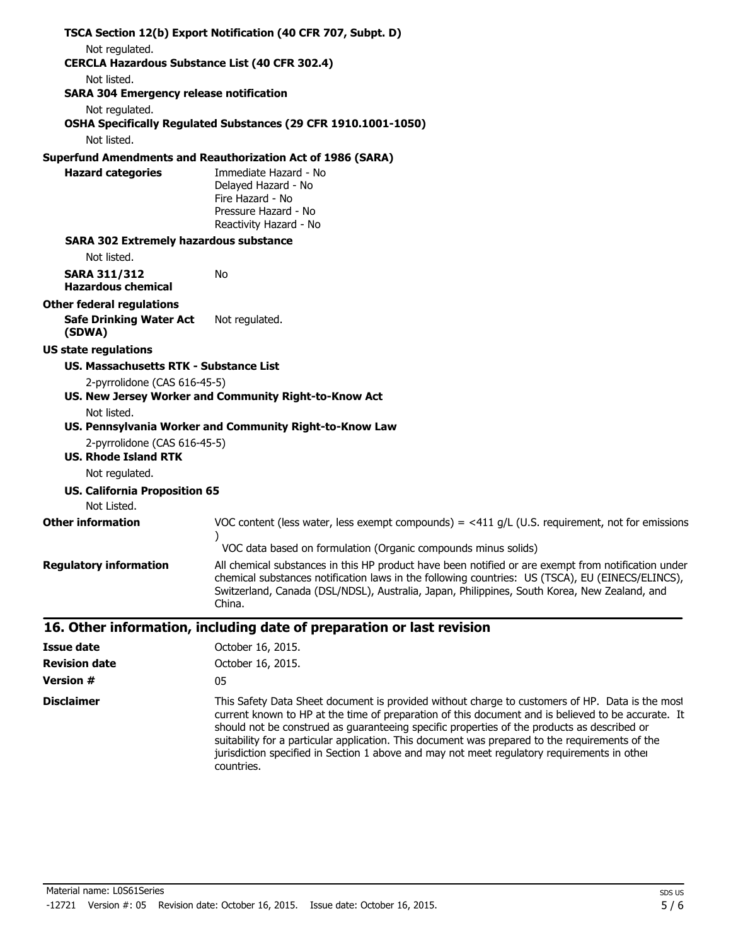|                                                                         | TSCA Section 12(b) Export Notification (40 CFR 707, Subpt. D)                                                                                                                                                                                                                                                     |
|-------------------------------------------------------------------------|-------------------------------------------------------------------------------------------------------------------------------------------------------------------------------------------------------------------------------------------------------------------------------------------------------------------|
| Not regulated.<br><b>CERCLA Hazardous Substance List (40 CFR 302.4)</b> |                                                                                                                                                                                                                                                                                                                   |
| Not listed.                                                             |                                                                                                                                                                                                                                                                                                                   |
| <b>SARA 304 Emergency release notification</b>                          |                                                                                                                                                                                                                                                                                                                   |
| Not regulated.                                                          |                                                                                                                                                                                                                                                                                                                   |
|                                                                         | OSHA Specifically Regulated Substances (29 CFR 1910.1001-1050)                                                                                                                                                                                                                                                    |
| Not listed.                                                             |                                                                                                                                                                                                                                                                                                                   |
|                                                                         | <b>Superfund Amendments and Reauthorization Act of 1986 (SARA)</b>                                                                                                                                                                                                                                                |
| <b>Hazard categories</b>                                                | Immediate Hazard - No                                                                                                                                                                                                                                                                                             |
|                                                                         | Delayed Hazard - No                                                                                                                                                                                                                                                                                               |
|                                                                         | Fire Hazard - No                                                                                                                                                                                                                                                                                                  |
|                                                                         | Pressure Hazard - No<br>Reactivity Hazard - No                                                                                                                                                                                                                                                                    |
| <b>SARA 302 Extremely hazardous substance</b>                           |                                                                                                                                                                                                                                                                                                                   |
| Not listed.                                                             |                                                                                                                                                                                                                                                                                                                   |
| <b>SARA 311/312</b>                                                     | No                                                                                                                                                                                                                                                                                                                |
| <b>Hazardous chemical</b>                                               |                                                                                                                                                                                                                                                                                                                   |
| <b>Other federal regulations</b>                                        |                                                                                                                                                                                                                                                                                                                   |
| <b>Safe Drinking Water Act</b><br>(SDWA)                                | Not regulated.                                                                                                                                                                                                                                                                                                    |
| <b>US state regulations</b>                                             |                                                                                                                                                                                                                                                                                                                   |
| US. Massachusetts RTK - Substance List                                  |                                                                                                                                                                                                                                                                                                                   |
| 2-pyrrolidone (CAS 616-45-5)                                            |                                                                                                                                                                                                                                                                                                                   |
|                                                                         | US. New Jersey Worker and Community Right-to-Know Act                                                                                                                                                                                                                                                             |
| Not listed.                                                             |                                                                                                                                                                                                                                                                                                                   |
|                                                                         | US. Pennsylvania Worker and Community Right-to-Know Law                                                                                                                                                                                                                                                           |
| 2-pyrrolidone (CAS 616-45-5)                                            |                                                                                                                                                                                                                                                                                                                   |
| <b>US. Rhode Island RTK</b>                                             |                                                                                                                                                                                                                                                                                                                   |
| Not regulated.                                                          |                                                                                                                                                                                                                                                                                                                   |
| <b>US. California Proposition 65</b>                                    |                                                                                                                                                                                                                                                                                                                   |
| Not Listed.                                                             |                                                                                                                                                                                                                                                                                                                   |
| <b>Other information</b>                                                | VOC content (less water, less exempt compounds) = $\lt 411$ g/L (U.S. requirement, not for emissions                                                                                                                                                                                                              |
|                                                                         | VOC data based on formulation (Organic compounds minus solids)                                                                                                                                                                                                                                                    |
| <b>Regulatory information</b>                                           | All chemical substances in this HP product have been notified or are exempt from notification under<br>chemical substances notification laws in the following countries: US (TSCA), EU (EINECS/ELINCS),<br>Switzerland, Canada (DSL/NDSL), Australia, Japan, Philippines, South Korea, New Zealand, and<br>China. |
|                                                                         | 16. Other information, including date of preparation or last revision                                                                                                                                                                                                                                             |
| <b>Issue date</b>                                                       | October 16, 2015.                                                                                                                                                                                                                                                                                                 |
| <b>Revision date</b>                                                    | October 16, 2015.                                                                                                                                                                                                                                                                                                 |
| <b>Version #</b>                                                        | 05                                                                                                                                                                                                                                                                                                                |

**Disclaimer** This Safety Data Sheet document is provided without charge to customers of HP. Data is the most current known to HP at the time of preparation of this document and is believed to be accurate. It should not be construed as guaranteeing specific properties of the products as described or suitability for a particular application. This document was prepared to the requirements of the jurisdiction specified in Section 1 above and may not meet regulatory requirements in other countries.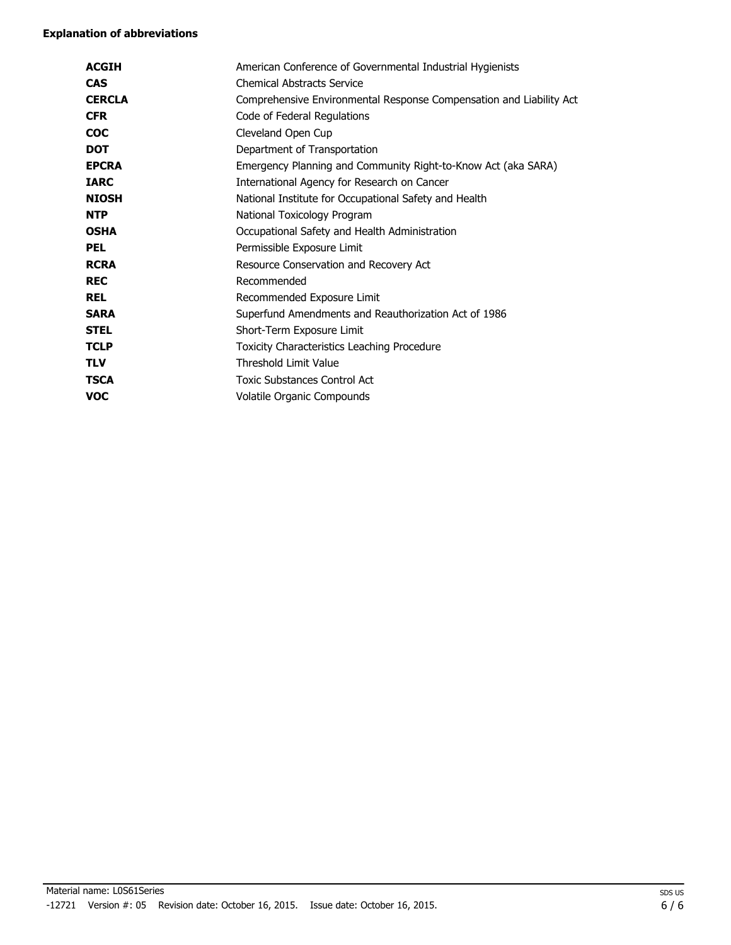| <b>ACGIH</b>  | American Conference of Governmental Industrial Hygienists           |
|---------------|---------------------------------------------------------------------|
| <b>CAS</b>    | <b>Chemical Abstracts Service</b>                                   |
| <b>CERCLA</b> | Comprehensive Environmental Response Compensation and Liability Act |
| <b>CFR</b>    | Code of Federal Regulations                                         |
| <b>COC</b>    | Cleveland Open Cup                                                  |
| <b>DOT</b>    | Department of Transportation                                        |
| <b>EPCRA</b>  | Emergency Planning and Community Right-to-Know Act (aka SARA)       |
| <b>IARC</b>   | International Agency for Research on Cancer                         |
| <b>NIOSH</b>  | National Institute for Occupational Safety and Health               |
| <b>NTP</b>    | National Toxicology Program                                         |
| <b>OSHA</b>   | Occupational Safety and Health Administration                       |
| <b>PEL</b>    | Permissible Exposure Limit                                          |
| <b>RCRA</b>   | Resource Conservation and Recovery Act                              |
| <b>REC</b>    | Recommended                                                         |
| <b>REL</b>    | Recommended Exposure Limit                                          |
| <b>SARA</b>   | Superfund Amendments and Reauthorization Act of 1986                |
| <b>STEL</b>   | Short-Term Exposure Limit                                           |
| <b>TCLP</b>   | Toxicity Characteristics Leaching Procedure                         |
| <b>TLV</b>    | <b>Threshold Limit Value</b>                                        |
| <b>TSCA</b>   | <b>Toxic Substances Control Act</b>                                 |
| voc           | Volatile Organic Compounds                                          |
|               |                                                                     |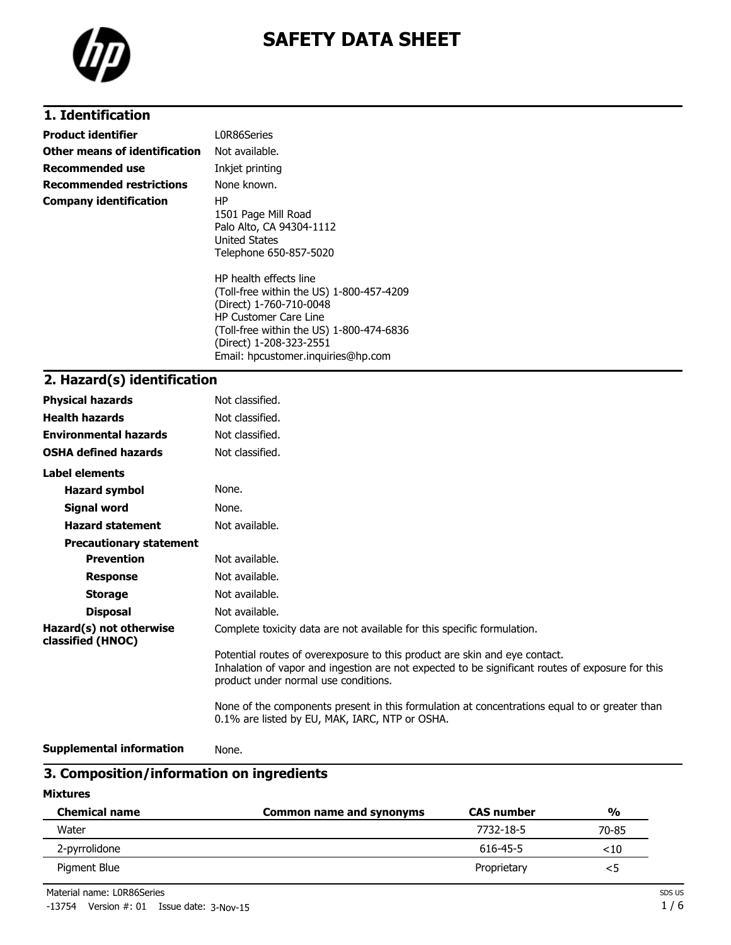

# **1. Identification**

| <b>Product identifier</b>       | L0R86Series                                                                                                                                                                                                                                                                                                                                     |
|---------------------------------|-------------------------------------------------------------------------------------------------------------------------------------------------------------------------------------------------------------------------------------------------------------------------------------------------------------------------------------------------|
| Other means of identification   | Not available.                                                                                                                                                                                                                                                                                                                                  |
| Recommended use                 | Inkjet printing                                                                                                                                                                                                                                                                                                                                 |
| <b>Recommended restrictions</b> | None known.                                                                                                                                                                                                                                                                                                                                     |
| <b>Company identification</b>   | HP.<br>1501 Page Mill Road<br>Palo Alto, CA 94304-1112<br>United States<br>Telephone 650-857-5020<br>HP health effects line<br>(Toll-free within the US) 1-800-457-4209<br>(Direct) 1-760-710-0048<br><b>HP Customer Care Line</b><br>(Toll-free within the US) 1-800-474-6836<br>(Direct) 1-208-323-2551<br>Email: hpcustomer.inguiries@hp.com |

# **2. Hazard(s) identification**

| <b>Physical hazards</b>                      | Not classified.                                                                                                                                                                                                        |
|----------------------------------------------|------------------------------------------------------------------------------------------------------------------------------------------------------------------------------------------------------------------------|
| <b>Health hazards</b>                        | Not classified.                                                                                                                                                                                                        |
| <b>Environmental hazards</b>                 | Not classified.                                                                                                                                                                                                        |
| <b>OSHA defined hazards</b>                  | Not classified.                                                                                                                                                                                                        |
| Label elements                               |                                                                                                                                                                                                                        |
| <b>Hazard symbol</b>                         | None.                                                                                                                                                                                                                  |
| Signal word                                  | None.                                                                                                                                                                                                                  |
| <b>Hazard statement</b>                      | Not available.                                                                                                                                                                                                         |
| <b>Precautionary statement</b>               |                                                                                                                                                                                                                        |
| <b>Prevention</b>                            | Not available.                                                                                                                                                                                                         |
| <b>Response</b>                              | Not available.                                                                                                                                                                                                         |
| <b>Storage</b>                               | Not available.                                                                                                                                                                                                         |
| <b>Disposal</b>                              | Not available.                                                                                                                                                                                                         |
| Hazard(s) not otherwise<br>classified (HNOC) | Complete toxicity data are not available for this specific formulation.                                                                                                                                                |
|                                              | Potential routes of overexposure to this product are skin and eye contact.<br>Inhalation of vapor and ingestion are not expected to be significant routes of exposure for this<br>product under normal use conditions. |
|                                              | None of the components present in this formulation at concentrations equal to or greater than<br>0.1% are listed by EU, MAK, IARC, NTP or OSHA.                                                                        |

```
Supplemental information None.
```
# **3. Composition/information on ingredients**

**Mixtures**

| <b>Chemical name</b> | Common name and synonyms | <b>CAS number</b> | $\frac{0}{0}$ |
|----------------------|--------------------------|-------------------|---------------|
| Water                |                          | 7732-18-5         | 70-85         |
| 2-pyrrolidone        |                          | 616-45-5          | $<$ 10        |
| Pigment Blue         |                          | Proprietary       | <5            |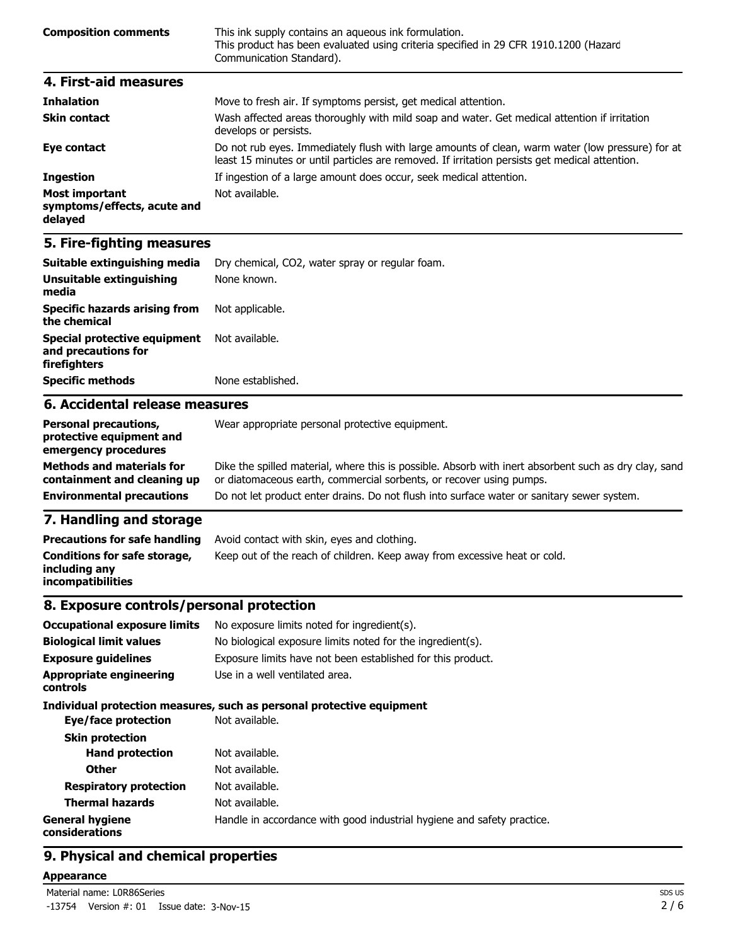| <b>Composition comments</b> | This ink supply contains an aqueous ink formulation.<br>This product has been evaluated using criteria specified in 29 CFR 1910.1200 (Hazard<br>Communication Standard). |
|-----------------------------|--------------------------------------------------------------------------------------------------------------------------------------------------------------------------|
| 4. First-aid measures       |                                                                                                                                                                          |
| The law limit is an         | Maria ta fuash alu If sinantanan nanalati astronodlaal attantian                                                                                                         |

| <b>Inhalation</b>                                               | Move to fresh air. If symptoms persist, get medical attention.                                                                                                                                     |
|-----------------------------------------------------------------|----------------------------------------------------------------------------------------------------------------------------------------------------------------------------------------------------|
| <b>Skin contact</b>                                             | Wash affected areas thoroughly with mild soap and water. Get medical attention if irritation<br>develops or persists.                                                                              |
| Eye contact                                                     | Do not rub eyes. Immediately flush with large amounts of clean, warm water (low pressure) for at<br>least 15 minutes or until particles are removed. If irritation persists get medical attention. |
| <b>Ingestion</b>                                                | If ingestion of a large amount does occur, seek medical attention.                                                                                                                                 |
| <b>Most important</b><br>symptoms/effects, acute and<br>delayed | Not available.                                                                                                                                                                                     |

| Suitable extinguishing media                                        | Dry chemical, CO2, water spray or regular foam. |
|---------------------------------------------------------------------|-------------------------------------------------|
| Unsuitable extinguishing<br>media                                   | None known.                                     |
| <b>Specific hazards arising from</b><br>the chemical                | Not applicable.                                 |
| Special protective equipment<br>and precautions for<br>firefighters | Not available.                                  |
| <b>Specific methods</b>                                             | None established.                               |
| 6. Accidental release measures                                      |                                                 |

#### **Personal precautions, protective equipment and emergency procedures** Wear appropriate personal protective equipment. **Methods and materials for containment and cleaning up** Dike the spilled material, where this is possible. Absorb with inert absorbent such as dry clay, sand or diatomaceous earth, commercial sorbents, or recover using pumps. **Environmental precautions** Do not let product enter drains. Do not flush into surface water or sanitary sewer system.

# **7. Handling and storage**

| <b>Precautions for safe handling</b>                                      | Avoid contact with skin, eyes and clothing.                               |
|---------------------------------------------------------------------------|---------------------------------------------------------------------------|
| <b>Conditions for safe storage,</b><br>including any<br>incompatibilities | Keep out of the reach of children. Keep away from excessive heat or cold. |

### **8. Exposure controls/personal protection**

| <b>Occupational exposure limits</b>        | No exposure limits noted for ingredient(s).                            |  |
|--------------------------------------------|------------------------------------------------------------------------|--|
| <b>Biological limit values</b>             | No biological exposure limits noted for the ingredient(s).             |  |
| <b>Exposure guidelines</b>                 | Exposure limits have not been established for this product.            |  |
| <b>Appropriate engineering</b><br>controls | Use in a well ventilated area.                                         |  |
|                                            | Individual protection measures, such as personal protective equipment  |  |
| Eye/face protection                        | Not available.                                                         |  |
| <b>Skin protection</b>                     |                                                                        |  |
| <b>Hand protection</b>                     | Not available.                                                         |  |
| <b>Other</b>                               | Not available.                                                         |  |
| <b>Respiratory protection</b>              | Not available.                                                         |  |
| <b>Thermal hazards</b>                     | Not available.                                                         |  |
| <b>General hygiene</b><br>considerations   | Handle in accordance with good industrial hygiene and safety practice. |  |

## **9. Physical and chemical properties**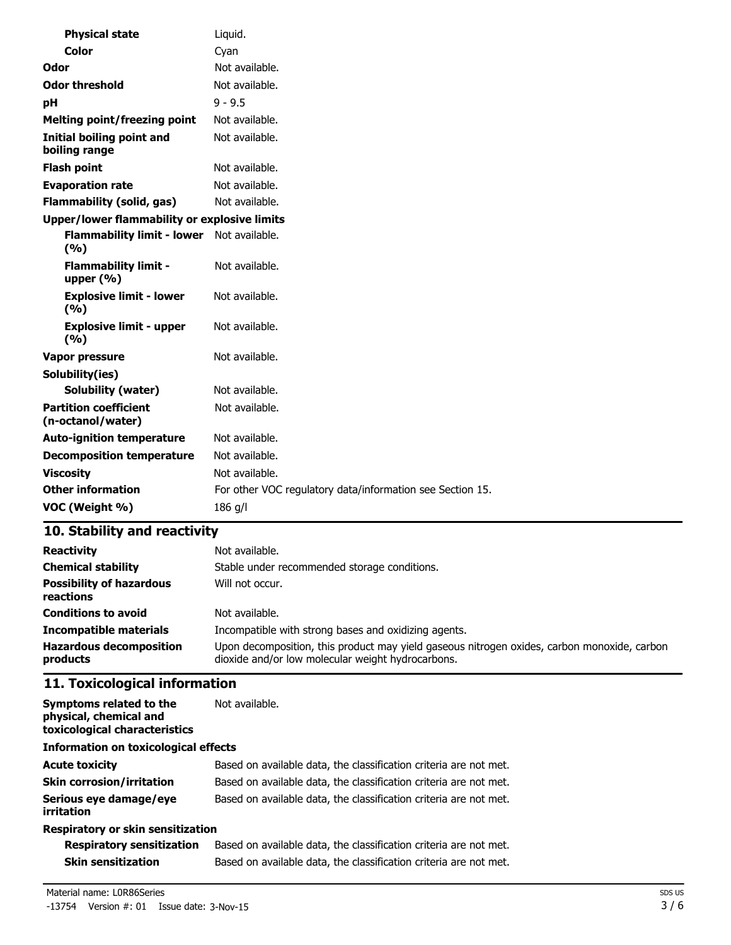| <b>Physical state</b>                              | Liquid.                                                   |
|----------------------------------------------------|-----------------------------------------------------------|
| <b>Color</b>                                       | Cyan                                                      |
| Odor                                               | Not available.                                            |
| <b>Odor threshold</b>                              | Not available.                                            |
| pH                                                 | $9 - 9.5$                                                 |
| <b>Melting point/freezing point</b>                | Not available.                                            |
| Initial boiling point and<br>boiling range         | Not available.                                            |
| <b>Flash point</b>                                 | Not available.                                            |
| <b>Evaporation rate</b>                            | Not available.                                            |
| <b>Flammability (solid, gas)</b>                   | Not available.                                            |
| Upper/lower flammability or explosive limits       |                                                           |
| Flammability limit - lower Not available.<br>(9/6) |                                                           |
| <b>Flammability limit -</b><br>upper $(\% )$       | Not available.                                            |
| <b>Explosive limit - lower</b><br>(9/6)            | Not available.                                            |
| <b>Explosive limit - upper</b><br>(9/6)            | Not available.                                            |
| Vapor pressure                                     | Not available.                                            |
| Solubility(ies)                                    |                                                           |
| Solubility (water)                                 | Not available.                                            |
| <b>Partition coefficient</b><br>(n-octanol/water)  | Not available.                                            |
| <b>Auto-ignition temperature</b>                   | Not available.                                            |
| <b>Decomposition temperature</b>                   | Not available.                                            |
| <b>Viscosity</b>                                   | Not available.                                            |
| <b>Other information</b>                           | For other VOC regulatory data/information see Section 15. |
| VOC (Weight %)                                     | 186 g/l                                                   |

| <b>Reactivity</b>                            | Not available.                                                                                                                                   |
|----------------------------------------------|--------------------------------------------------------------------------------------------------------------------------------------------------|
| <b>Chemical stability</b>                    | Stable under recommended storage conditions.                                                                                                     |
| <b>Possibility of hazardous</b><br>reactions | Will not occur.                                                                                                                                  |
| <b>Conditions to avoid</b>                   | Not available.                                                                                                                                   |
| <b>Incompatible materials</b>                | Incompatible with strong bases and oxidizing agents.                                                                                             |
| <b>Hazardous decomposition</b><br>products   | Upon decomposition, this product may yield gaseous nitrogen oxides, carbon monoxide, carbon<br>dioxide and/or low molecular weight hydrocarbons. |

# **11. Toxicological information**

| Symptoms related to the<br>physical, chemical and<br>toxicological characteristics | Not available.                                                    |  |
|------------------------------------------------------------------------------------|-------------------------------------------------------------------|--|
| <b>Information on toxicological effects</b>                                        |                                                                   |  |
| <b>Acute toxicity</b>                                                              | Based on available data, the classification criteria are not met. |  |
| <b>Skin corrosion/irritation</b>                                                   | Based on available data, the classification criteria are not met. |  |
| Serious eye damage/eye<br>irritation                                               | Based on available data, the classification criteria are not met. |  |
| Respiratory or skin sensitization                                                  |                                                                   |  |

| <b>Respiratory sensitization</b> | Based on available data, the classification criteria are not met. |
|----------------------------------|-------------------------------------------------------------------|
| <b>Skin sensitization</b>        | Based on available data, the classification criteria are not met. |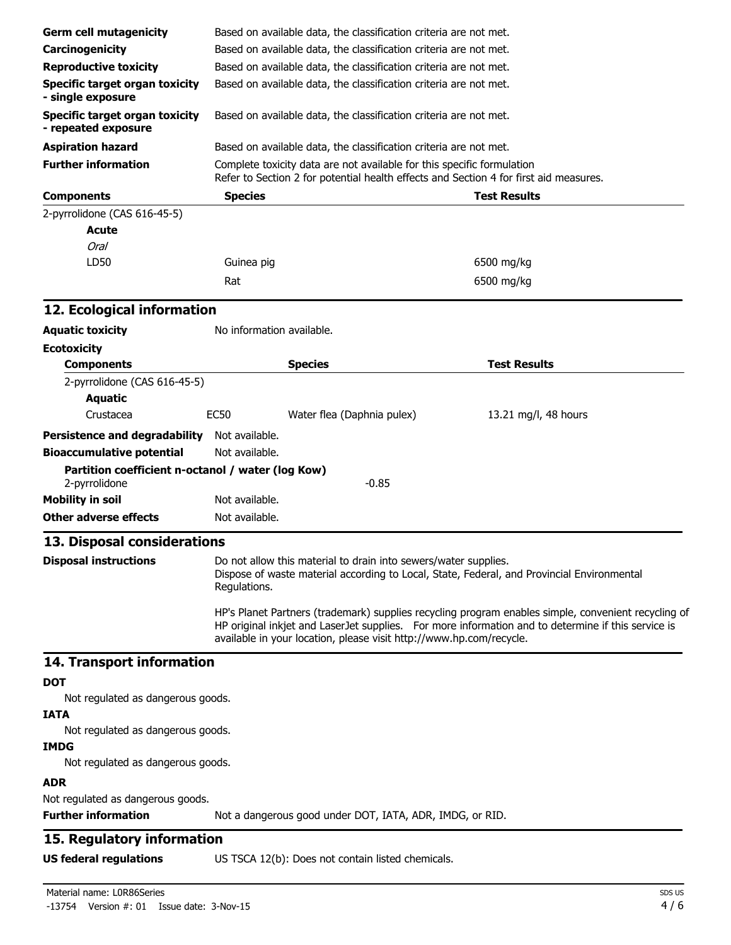| <b>Germ cell mutagenicity</b>                                                                                                                                                                                                                                                    |                                                                                                                                                                                                             |                                                                                                                                                                 |                      |  |
|----------------------------------------------------------------------------------------------------------------------------------------------------------------------------------------------------------------------------------------------------------------------------------|-------------------------------------------------------------------------------------------------------------------------------------------------------------------------------------------------------------|-----------------------------------------------------------------------------------------------------------------------------------------------------------------|----------------------|--|
| Carcinogenicity                                                                                                                                                                                                                                                                  |                                                                                                                                                                                                             | Based on available data, the classification criteria are not met.                                                                                               |                      |  |
| <b>Reproductive toxicity</b>                                                                                                                                                                                                                                                     | Based on available data, the classification criteria are not met.<br>Based on available data, the classification criteria are not met.<br>Based on available data, the classification criteria are not met. |                                                                                                                                                                 |                      |  |
|                                                                                                                                                                                                                                                                                  |                                                                                                                                                                                                             |                                                                                                                                                                 |                      |  |
| <b>Specific target organ toxicity</b><br>- single exposure                                                                                                                                                                                                                       |                                                                                                                                                                                                             |                                                                                                                                                                 |                      |  |
| <b>Specific target organ toxicity</b><br>- repeated exposure                                                                                                                                                                                                                     | Based on available data, the classification criteria are not met.                                                                                                                                           |                                                                                                                                                                 |                      |  |
| <b>Aspiration hazard</b>                                                                                                                                                                                                                                                         |                                                                                                                                                                                                             | Based on available data, the classification criteria are not met.                                                                                               |                      |  |
| <b>Further information</b>                                                                                                                                                                                                                                                       |                                                                                                                                                                                                             | Complete toxicity data are not available for this specific formulation<br>Refer to Section 2 for potential health effects and Section 4 for first aid measures. |                      |  |
| <b>Components</b>                                                                                                                                                                                                                                                                | <b>Species</b>                                                                                                                                                                                              |                                                                                                                                                                 | <b>Test Results</b>  |  |
| 2-pyrrolidone (CAS 616-45-5)                                                                                                                                                                                                                                                     |                                                                                                                                                                                                             |                                                                                                                                                                 |                      |  |
| <b>Acute</b>                                                                                                                                                                                                                                                                     |                                                                                                                                                                                                             |                                                                                                                                                                 |                      |  |
| Oral                                                                                                                                                                                                                                                                             |                                                                                                                                                                                                             |                                                                                                                                                                 |                      |  |
| LD50                                                                                                                                                                                                                                                                             | Guinea pig                                                                                                                                                                                                  |                                                                                                                                                                 | 6500 mg/kg           |  |
|                                                                                                                                                                                                                                                                                  | Rat                                                                                                                                                                                                         |                                                                                                                                                                 | 6500 mg/kg           |  |
| 12. Ecological information                                                                                                                                                                                                                                                       |                                                                                                                                                                                                             |                                                                                                                                                                 |                      |  |
| <b>Aquatic toxicity</b>                                                                                                                                                                                                                                                          | No information available.                                                                                                                                                                                   |                                                                                                                                                                 |                      |  |
| <b>Ecotoxicity</b>                                                                                                                                                                                                                                                               |                                                                                                                                                                                                             |                                                                                                                                                                 |                      |  |
| <b>Components</b>                                                                                                                                                                                                                                                                |                                                                                                                                                                                                             | <b>Species</b>                                                                                                                                                  | <b>Test Results</b>  |  |
| 2-pyrrolidone (CAS 616-45-5)                                                                                                                                                                                                                                                     |                                                                                                                                                                                                             |                                                                                                                                                                 |                      |  |
| <b>Aquatic</b>                                                                                                                                                                                                                                                                   |                                                                                                                                                                                                             |                                                                                                                                                                 |                      |  |
| Crustacea                                                                                                                                                                                                                                                                        | <b>EC50</b>                                                                                                                                                                                                 | Water flea (Daphnia pulex)                                                                                                                                      | 13.21 mg/l, 48 hours |  |
| <b>Persistence and degradability</b>                                                                                                                                                                                                                                             | Not available.                                                                                                                                                                                              |                                                                                                                                                                 |                      |  |
| <b>Bioaccumulative potential</b>                                                                                                                                                                                                                                                 | Not available.                                                                                                                                                                                              |                                                                                                                                                                 |                      |  |
|                                                                                                                                                                                                                                                                                  |                                                                                                                                                                                                             |                                                                                                                                                                 |                      |  |
| Partition coefficient n-octanol / water (log Kow)<br>2-pyrrolidone                                                                                                                                                                                                               |                                                                                                                                                                                                             | $-0.85$                                                                                                                                                         |                      |  |
| <b>Mobility in soil</b>                                                                                                                                                                                                                                                          | Not available.                                                                                                                                                                                              |                                                                                                                                                                 |                      |  |
| <b>Other adverse effects</b>                                                                                                                                                                                                                                                     | Not available.                                                                                                                                                                                              |                                                                                                                                                                 |                      |  |
| 13. Disposal considerations                                                                                                                                                                                                                                                      |                                                                                                                                                                                                             |                                                                                                                                                                 |                      |  |
| <b>Disposal instructions</b>                                                                                                                                                                                                                                                     | Do not allow this material to drain into sewers/water supplies.<br>Dispose of waste material according to Local, State, Federal, and Provincial Environmental<br>Regulations.                               |                                                                                                                                                                 |                      |  |
| HP's Planet Partners (trademark) supplies recycling program enables simple, convenient recycling of<br>HP original inkjet and LaserJet supplies. For more information and to determine if this service is<br>available in your location, please visit http://www.hp.com/recycle. |                                                                                                                                                                                                             |                                                                                                                                                                 |                      |  |
| 14. Transport information                                                                                                                                                                                                                                                        |                                                                                                                                                                                                             |                                                                                                                                                                 |                      |  |
| <b>DOT</b><br>Not regulated as dangerous goods.                                                                                                                                                                                                                                  |                                                                                                                                                                                                             |                                                                                                                                                                 |                      |  |
| <b>IATA</b>                                                                                                                                                                                                                                                                      |                                                                                                                                                                                                             |                                                                                                                                                                 |                      |  |
| Not regulated as dangerous goods.                                                                                                                                                                                                                                                |                                                                                                                                                                                                             |                                                                                                                                                                 |                      |  |
| <b>IMDG</b>                                                                                                                                                                                                                                                                      |                                                                                                                                                                                                             |                                                                                                                                                                 |                      |  |
| Not regulated as dangerous goods.                                                                                                                                                                                                                                                |                                                                                                                                                                                                             |                                                                                                                                                                 |                      |  |
|                                                                                                                                                                                                                                                                                  |                                                                                                                                                                                                             |                                                                                                                                                                 |                      |  |
| <b>ADR</b>                                                                                                                                                                                                                                                                       |                                                                                                                                                                                                             |                                                                                                                                                                 |                      |  |
| Not regulated as dangerous goods.<br><b>Further information</b>                                                                                                                                                                                                                  |                                                                                                                                                                                                             |                                                                                                                                                                 |                      |  |
|                                                                                                                                                                                                                                                                                  |                                                                                                                                                                                                             | Not a dangerous good under DOT, IATA, ADR, IMDG, or RID.                                                                                                        |                      |  |
| 15. Regulatory information                                                                                                                                                                                                                                                       |                                                                                                                                                                                                             |                                                                                                                                                                 |                      |  |
| <b>US federal regulations</b>                                                                                                                                                                                                                                                    |                                                                                                                                                                                                             | US TSCA 12(b): Does not contain listed chemicals.                                                                                                               |                      |  |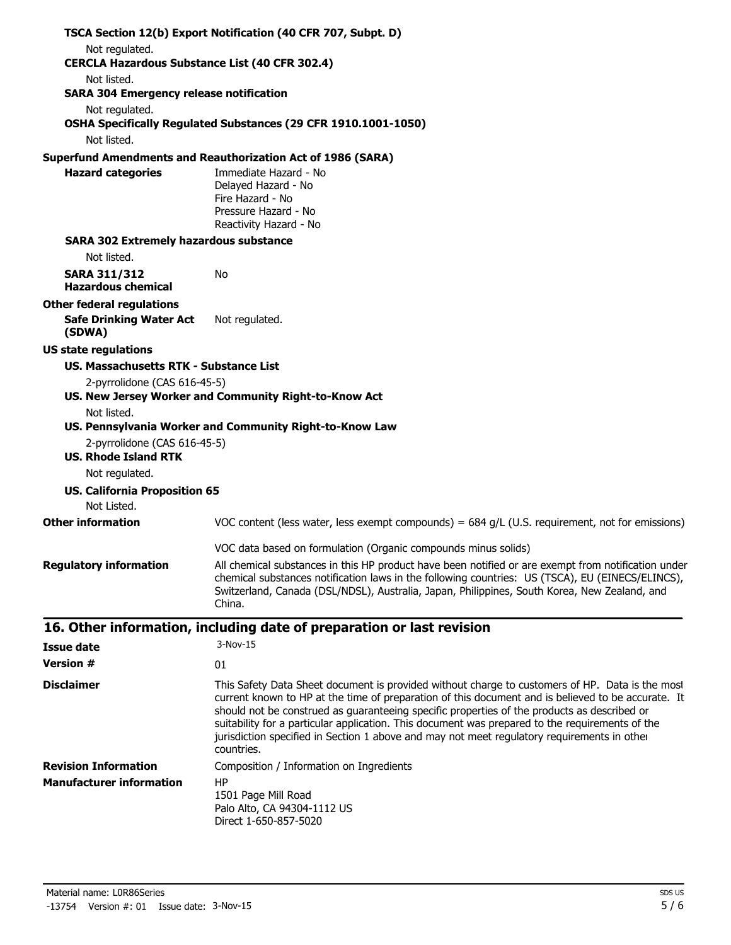|                                                             | TSCA Section 12(b) Export Notification (40 CFR 707, Subpt. D)                                                                                                                                                                                                                                                                                                                                                     |
|-------------------------------------------------------------|-------------------------------------------------------------------------------------------------------------------------------------------------------------------------------------------------------------------------------------------------------------------------------------------------------------------------------------------------------------------------------------------------------------------|
| Not regulated.                                              |                                                                                                                                                                                                                                                                                                                                                                                                                   |
| <b>CERCLA Hazardous Substance List (40 CFR 302.4)</b>       |                                                                                                                                                                                                                                                                                                                                                                                                                   |
| Not listed.                                                 |                                                                                                                                                                                                                                                                                                                                                                                                                   |
| <b>SARA 304 Emergency release notification</b>              |                                                                                                                                                                                                                                                                                                                                                                                                                   |
| Not regulated.                                              | OSHA Specifically Regulated Substances (29 CFR 1910.1001-1050)                                                                                                                                                                                                                                                                                                                                                    |
| Not listed.                                                 |                                                                                                                                                                                                                                                                                                                                                                                                                   |
|                                                             | <b>Superfund Amendments and Reauthorization Act of 1986 (SARA)</b>                                                                                                                                                                                                                                                                                                                                                |
| <b>Hazard categories</b>                                    | Immediate Hazard - No<br>Delayed Hazard - No<br>Fire Hazard - No<br>Pressure Hazard - No<br>Reactivity Hazard - No                                                                                                                                                                                                                                                                                                |
| <b>SARA 302 Extremely hazardous substance</b>               |                                                                                                                                                                                                                                                                                                                                                                                                                   |
| Not listed.                                                 |                                                                                                                                                                                                                                                                                                                                                                                                                   |
| <b>SARA 311/312</b><br><b>Hazardous chemical</b>            | No                                                                                                                                                                                                                                                                                                                                                                                                                |
| <b>Other federal regulations</b>                            |                                                                                                                                                                                                                                                                                                                                                                                                                   |
| <b>Safe Drinking Water Act</b><br>(SDWA)                    | Not regulated.                                                                                                                                                                                                                                                                                                                                                                                                    |
| <b>US state regulations</b>                                 |                                                                                                                                                                                                                                                                                                                                                                                                                   |
| US. Massachusetts RTK - Substance List                      |                                                                                                                                                                                                                                                                                                                                                                                                                   |
| 2-pyrrolidone (CAS 616-45-5)                                |                                                                                                                                                                                                                                                                                                                                                                                                                   |
| Not listed.                                                 | US. New Jersey Worker and Community Right-to-Know Act                                                                                                                                                                                                                                                                                                                                                             |
|                                                             | US. Pennsylvania Worker and Community Right-to-Know Law                                                                                                                                                                                                                                                                                                                                                           |
| 2-pyrrolidone (CAS 616-45-5)<br><b>US. Rhode Island RTK</b> |                                                                                                                                                                                                                                                                                                                                                                                                                   |
| Not regulated.                                              |                                                                                                                                                                                                                                                                                                                                                                                                                   |
| <b>US. California Proposition 65</b>                        |                                                                                                                                                                                                                                                                                                                                                                                                                   |
| Not Listed.                                                 |                                                                                                                                                                                                                                                                                                                                                                                                                   |
| <b>Other information</b>                                    | VOC content (less water, less exempt compounds) = $684$ g/L (U.S. requirement, not for emissions)                                                                                                                                                                                                                                                                                                                 |
|                                                             | VOC data based on formulation (Organic compounds minus solids)                                                                                                                                                                                                                                                                                                                                                    |
| <b>Regulatory information</b>                               | All chemical substances in this HP product have been notified or are exempt from notification under<br>chemical substances notification laws in the following countries: US (TSCA), EU (EINECS/ELINCS),<br>Switzerland, Canada (DSL/NDSL), Australia, Japan, Philippines, South Korea, New Zealand, and<br>China.                                                                                                 |
|                                                             | 16. Other information, including date of preparation or last revision                                                                                                                                                                                                                                                                                                                                             |
| <b>Issue date</b>                                           | 3-Nov-15                                                                                                                                                                                                                                                                                                                                                                                                          |
| <b>Version #</b>                                            | 01                                                                                                                                                                                                                                                                                                                                                                                                                |
| <b>Disclaimer</b>                                           | This Safety Data Sheet document is provided without charge to customers of HP. Data is the most                                                                                                                                                                                                                                                                                                                   |
|                                                             | current known to HP at the time of preparation of this document and is believed to be accurate. It<br>should not be construed as guaranteeing specific properties of the products as described or<br>suitability for a particular application. This document was prepared to the requirements of the<br>jurisdiction specified in Section 1 above and may not meet regulatory requirements in other<br>countries. |
| <b>Revision Information</b>                                 | Composition / Information on Ingredients                                                                                                                                                                                                                                                                                                                                                                          |
| <b>Manufacturer information</b>                             | <b>HP</b>                                                                                                                                                                                                                                                                                                                                                                                                         |
|                                                             | 1501 Page Mill Road<br>Palo Alto, CA 94304-1112 US<br>Direct 1-650-857-5020                                                                                                                                                                                                                                                                                                                                       |
| Material name: L0R86Series                                  | SDS US                                                                                                                                                                                                                                                                                                                                                                                                            |
| $-13754$ Version $\#$ : 01 Issue date: 3-Nov-15             | 5/6                                                                                                                                                                                                                                                                                                                                                                                                               |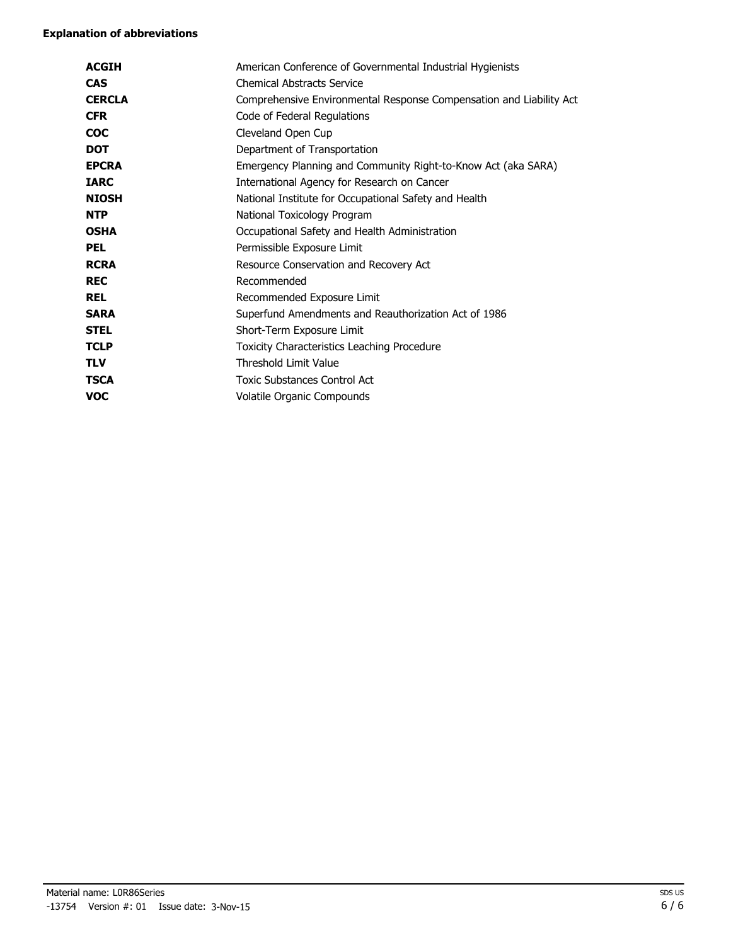| <b>ACGIH</b>  | American Conference of Governmental Industrial Hygienists           |
|---------------|---------------------------------------------------------------------|
| <b>CAS</b>    | <b>Chemical Abstracts Service</b>                                   |
| <b>CERCLA</b> | Comprehensive Environmental Response Compensation and Liability Act |
| <b>CFR</b>    | Code of Federal Regulations                                         |
| <b>COC</b>    | Cleveland Open Cup                                                  |
| <b>DOT</b>    | Department of Transportation                                        |
| <b>EPCRA</b>  | Emergency Planning and Community Right-to-Know Act (aka SARA)       |
| <b>IARC</b>   | International Agency for Research on Cancer                         |
| <b>NIOSH</b>  | National Institute for Occupational Safety and Health               |
| <b>NTP</b>    | National Toxicology Program                                         |
| <b>OSHA</b>   | Occupational Safety and Health Administration                       |
| <b>PEL</b>    | Permissible Exposure Limit                                          |
| <b>RCRA</b>   | Resource Conservation and Recovery Act                              |
| <b>REC</b>    | Recommended                                                         |
| <b>REL</b>    | Recommended Exposure Limit                                          |
| <b>SARA</b>   | Superfund Amendments and Reauthorization Act of 1986                |
| <b>STEL</b>   | Short-Term Exposure Limit                                           |
| <b>TCLP</b>   | Toxicity Characteristics Leaching Procedure                         |
| <b>TLV</b>    | Threshold Limit Value                                               |
| <b>TSCA</b>   | <b>Toxic Substances Control Act</b>                                 |
| <b>VOC</b>    | Volatile Organic Compounds                                          |
|               |                                                                     |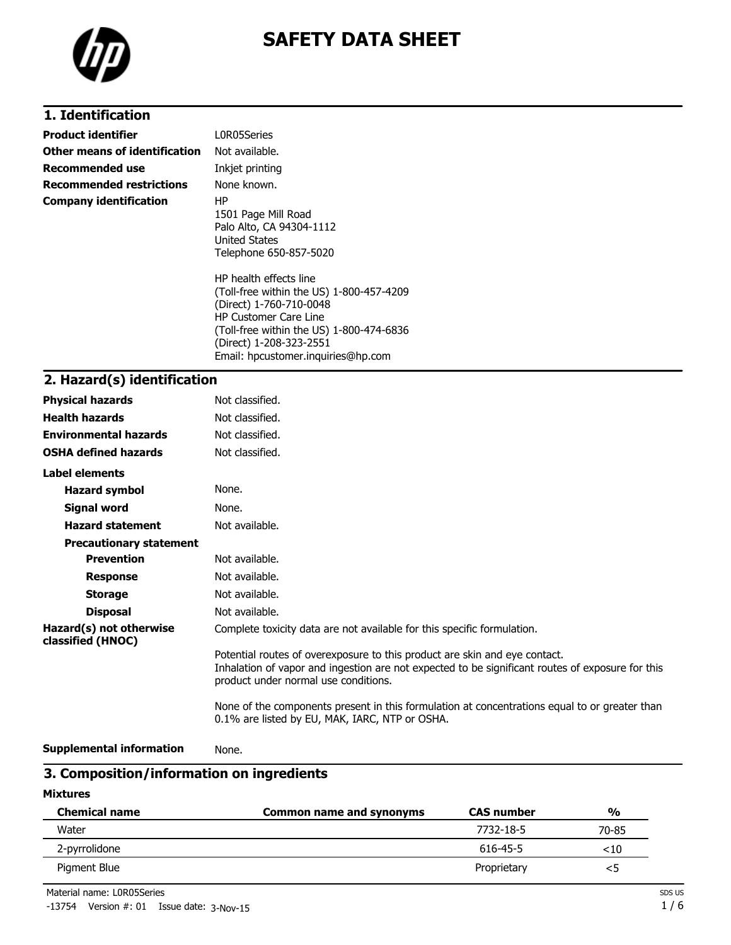

# **1. Identification**

| <b>Product identifier</b>       | L0R05Series                                                                                                                                                                                                                                                                                                                                     |
|---------------------------------|-------------------------------------------------------------------------------------------------------------------------------------------------------------------------------------------------------------------------------------------------------------------------------------------------------------------------------------------------|
| Other means of identification   | Not available.                                                                                                                                                                                                                                                                                                                                  |
| Recommended use                 | Inkjet printing                                                                                                                                                                                                                                                                                                                                 |
| <b>Recommended restrictions</b> | None known.                                                                                                                                                                                                                                                                                                                                     |
| <b>Company identification</b>   | HP.<br>1501 Page Mill Road<br>Palo Alto, CA 94304-1112<br>United States<br>Telephone 650-857-5020<br>HP health effects line<br>(Toll-free within the US) 1-800-457-4209<br>(Direct) 1-760-710-0048<br><b>HP Customer Care Line</b><br>(Toll-free within the US) 1-800-474-6836<br>(Direct) 1-208-323-2551<br>Email: hpcustomer.inguiries@hp.com |

# **2. Hazard(s) identification**

| <b>Physical hazards</b>                      | Not classified.                                                                                                                                                                                                        |
|----------------------------------------------|------------------------------------------------------------------------------------------------------------------------------------------------------------------------------------------------------------------------|
| <b>Health hazards</b>                        | Not classified.                                                                                                                                                                                                        |
| <b>Environmental hazards</b>                 | Not classified.                                                                                                                                                                                                        |
| <b>OSHA defined hazards</b>                  | Not classified.                                                                                                                                                                                                        |
| Label elements                               |                                                                                                                                                                                                                        |
| <b>Hazard symbol</b>                         | None.                                                                                                                                                                                                                  |
| Signal word                                  | None.                                                                                                                                                                                                                  |
| <b>Hazard statement</b>                      | Not available.                                                                                                                                                                                                         |
| <b>Precautionary statement</b>               |                                                                                                                                                                                                                        |
| <b>Prevention</b>                            | Not available.                                                                                                                                                                                                         |
| <b>Response</b>                              | Not available.                                                                                                                                                                                                         |
| <b>Storage</b>                               | Not available.                                                                                                                                                                                                         |
| <b>Disposal</b>                              | Not available.                                                                                                                                                                                                         |
| Hazard(s) not otherwise<br>classified (HNOC) | Complete toxicity data are not available for this specific formulation.                                                                                                                                                |
|                                              | Potential routes of overexposure to this product are skin and eye contact.<br>Inhalation of vapor and ingestion are not expected to be significant routes of exposure for this<br>product under normal use conditions. |
|                                              | None of the components present in this formulation at concentrations equal to or greater than<br>0.1% are listed by EU, MAK, IARC, NTP or OSHA.                                                                        |

```
Supplemental information None.
```
# **3. Composition/information on ingredients**

**Mixtures**

| <b>Chemical name</b> | Common name and synonyms | <b>CAS number</b> | $\frac{0}{0}$ |
|----------------------|--------------------------|-------------------|---------------|
| Water                |                          | 7732-18-5         | 70-85         |
| 2-pyrrolidone        |                          | 616-45-5          | $<$ 10        |
| Pigment Blue         |                          | Proprietary       | <5            |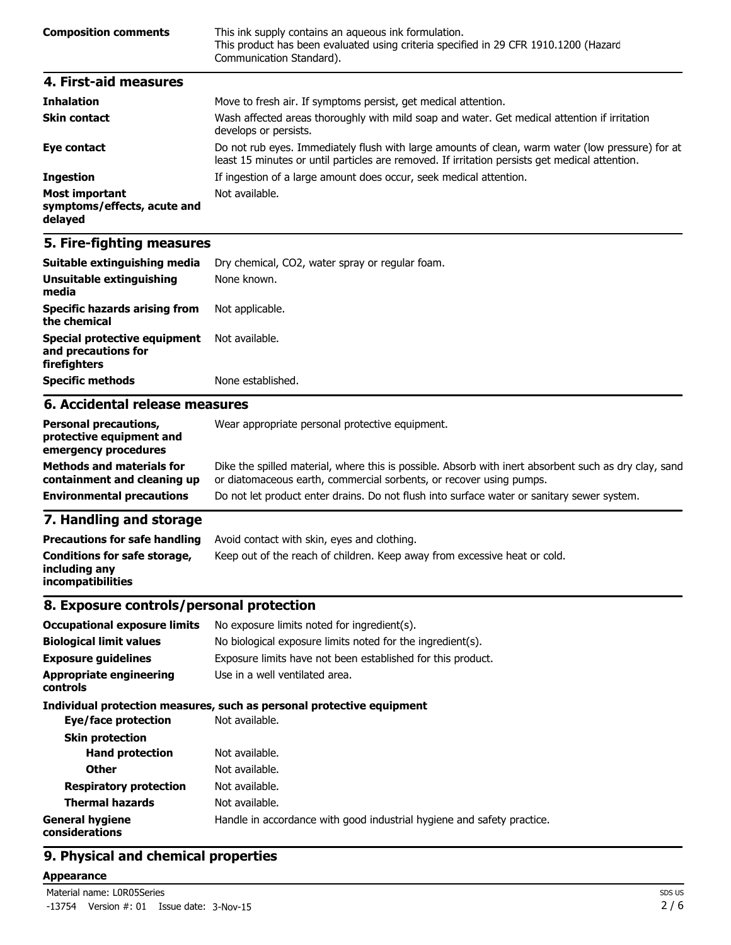| <b>Composition comments</b> | This ink supply contains an aqueous ink formulation.<br>This product has been evaluated using criteria specified in 29 CFR 1910.1200 (Hazard<br>Communication Standard). |  |
|-----------------------------|--------------------------------------------------------------------------------------------------------------------------------------------------------------------------|--|
| 4. First-aid measures       |                                                                                                                                                                          |  |
| <b>Inhalation</b>           | Move to fresh air. If symptoms persist, get medical attention.                                                                                                           |  |

| THIRRHOH                                                        | <u>riove to fresh all. It syniptoms persist, get medical attention.</u>                                                                                                                            |
|-----------------------------------------------------------------|----------------------------------------------------------------------------------------------------------------------------------------------------------------------------------------------------|
| <b>Skin contact</b>                                             | Wash affected areas thoroughly with mild soap and water. Get medical attention if irritation<br>develops or persists.                                                                              |
| Eye contact                                                     | Do not rub eyes. Immediately flush with large amounts of clean, warm water (low pressure) for at<br>least 15 minutes or until particles are removed. If irritation persists get medical attention. |
| <b>Ingestion</b>                                                | If ingestion of a large amount does occur, seek medical attention.                                                                                                                                 |
| <b>Most important</b><br>symptoms/effects, acute and<br>delayed | Not available.                                                                                                                                                                                     |

| Suitable extinguishing media                                                                                                                                                                                                         | Dry chemical, CO2, water spray or regular foam. |  |  |  |
|--------------------------------------------------------------------------------------------------------------------------------------------------------------------------------------------------------------------------------------|-------------------------------------------------|--|--|--|
| Unsuitable extinguishing<br>media                                                                                                                                                                                                    | None known.                                     |  |  |  |
| <b>Specific hazards arising from</b><br>the chemical                                                                                                                                                                                 | Not applicable.                                 |  |  |  |
| Special protective equipment<br>and precautions for<br>firefighters                                                                                                                                                                  | Not available.                                  |  |  |  |
| <b>Specific methods</b>                                                                                                                                                                                                              | None established.                               |  |  |  |
| 6. Accidental release measures                                                                                                                                                                                                       |                                                 |  |  |  |
| $\blacksquare$ . The contract of the contract of the contract of the contract of the contract of the contract of the contract of the contract of the contract of the contract of the contract of the contract of the contract of the | $\mathbf{u}$                                    |  |  |  |

| <b>Personal precautions,</b><br>protective equipment and<br>emergency procedures | Wear appropriate personal protective equipment.                                                                                                                              |
|----------------------------------------------------------------------------------|------------------------------------------------------------------------------------------------------------------------------------------------------------------------------|
| <b>Methods and materials for</b><br>containment and cleaning up                  | Dike the spilled material, where this is possible. Absorb with inert absorbent such as dry clay, sand<br>or diatomaceous earth, commercial sorbents, or recover using pumps. |
| <b>Environmental precautions</b>                                                 | Do not let product enter drains. Do not flush into surface water or sanitary sewer system.                                                                                   |
| 7 Hemaling and stevens                                                           |                                                                                                                                                                              |

### **7. Handling and storage**

| <b>Precautions for safe handling</b>                                      | Avoid contact with skin, eyes and clothing.                               |
|---------------------------------------------------------------------------|---------------------------------------------------------------------------|
| Conditions for safe storage,<br>including any<br><i>incompatibilities</i> | Keep out of the reach of children. Keep away from excessive heat or cold. |

### **8. Exposure controls/personal protection**

| <b>Occupational exposure limits</b><br><b>Biological limit values</b><br><b>Exposure quidelines</b> | No exposure limits noted for ingredient(s).<br>No biological exposure limits noted for the ingredient(s).<br>Exposure limits have not been established for this product. |  |  |
|-----------------------------------------------------------------------------------------------------|--------------------------------------------------------------------------------------------------------------------------------------------------------------------------|--|--|
| <b>Appropriate engineering</b><br>controls                                                          | Use in a well ventilated area.                                                                                                                                           |  |  |
|                                                                                                     | Individual protection measures, such as personal protective equipment                                                                                                    |  |  |
| Eye/face protection                                                                                 | Not available.                                                                                                                                                           |  |  |
| <b>Skin protection</b>                                                                              |                                                                                                                                                                          |  |  |
| <b>Hand protection</b>                                                                              | Not available.                                                                                                                                                           |  |  |
| <b>Other</b>                                                                                        | Not available.                                                                                                                                                           |  |  |
| <b>Respiratory protection</b>                                                                       | Not available.                                                                                                                                                           |  |  |
| <b>Thermal hazards</b>                                                                              | Not available.                                                                                                                                                           |  |  |
| <b>General hygiene</b><br>considerations                                                            | Handle in accordance with good industrial hygiene and safety practice.                                                                                                   |  |  |

# **9. Physical and chemical properties**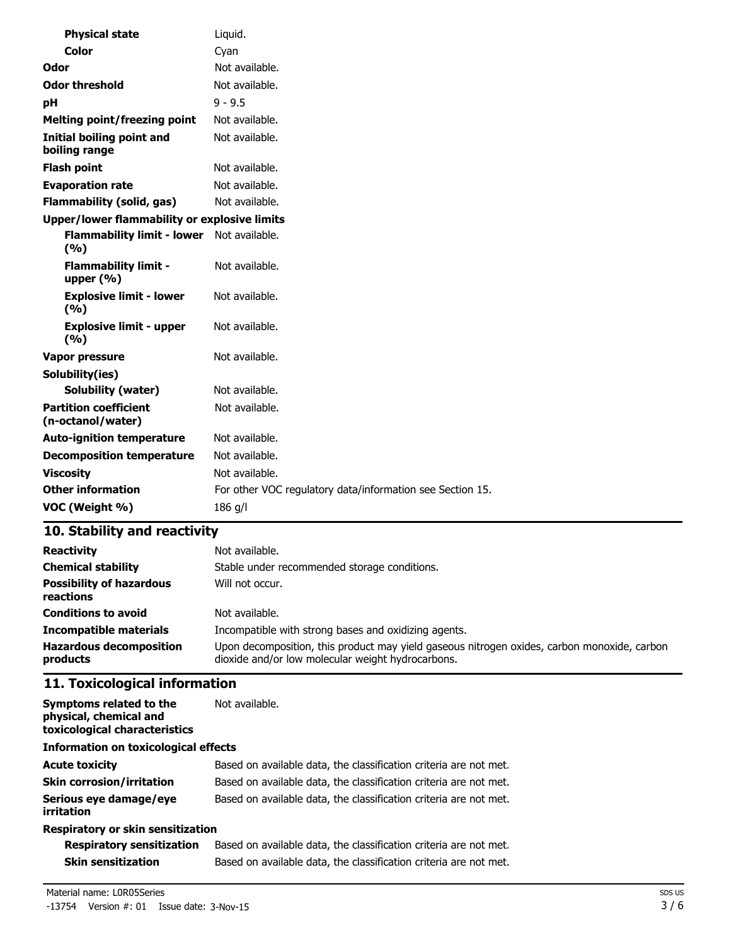| <b>Physical state</b>                             | Liquid.                                                   |
|---------------------------------------------------|-----------------------------------------------------------|
| <b>Color</b>                                      | Cyan                                                      |
| Odor                                              | Not available.                                            |
| <b>Odor threshold</b>                             | Not available.                                            |
| рH                                                | $9 - 9.5$                                                 |
| <b>Melting point/freezing point</b>               | Not available.                                            |
| Initial boiling point and<br>boiling range        | Not available.                                            |
| <b>Flash point</b>                                | Not available.                                            |
| <b>Evaporation rate</b>                           | Not available.                                            |
| <b>Flammability (solid, gas)</b>                  | Not available.                                            |
| Upper/lower flammability or explosive limits      |                                                           |
| <b>Flammability limit - lower</b><br>(9/6)        | Not available.                                            |
| <b>Flammability limit -</b><br>upper $(% )$       | Not available.                                            |
| <b>Explosive limit - lower</b><br>(9/6)           | Not available.                                            |
| <b>Explosive limit - upper</b><br>(9/6)           | Not available.                                            |
| Vapor pressure                                    | Not available.                                            |
| Solubility(ies)                                   |                                                           |
| <b>Solubility (water)</b>                         | Not available.                                            |
| <b>Partition coefficient</b><br>(n-octanol/water) | Not available.                                            |
| <b>Auto-ignition temperature</b>                  | Not available.                                            |
| <b>Decomposition temperature</b>                  | Not available.                                            |
| <b>Viscosity</b>                                  | Not available.                                            |
| <b>Other information</b>                          | For other VOC regulatory data/information see Section 15. |
| VOC (Weight %)                                    | 186 g/l                                                   |

| <b>Reactivity</b>                            | Not available.                                                                                                                                   |  |  |
|----------------------------------------------|--------------------------------------------------------------------------------------------------------------------------------------------------|--|--|
| <b>Chemical stability</b>                    | Stable under recommended storage conditions.                                                                                                     |  |  |
| <b>Possibility of hazardous</b><br>reactions | Will not occur.                                                                                                                                  |  |  |
| <b>Conditions to avoid</b>                   | Not available.                                                                                                                                   |  |  |
| <b>Incompatible materials</b>                | Incompatible with strong bases and oxidizing agents.                                                                                             |  |  |
| <b>Hazardous decomposition</b><br>products   | Upon decomposition, this product may yield gaseous nitrogen oxides, carbon monoxide, carbon<br>dioxide and/or low molecular weight hydrocarbons. |  |  |

# **11. Toxicological information**

| Symptoms related to the<br>physical, chemical and<br>toxicological characteristics | Not available.                                                    |  |
|------------------------------------------------------------------------------------|-------------------------------------------------------------------|--|
| <b>Information on toxicological effects</b>                                        |                                                                   |  |
| <b>Acute toxicity</b>                                                              | Based on available data, the classification criteria are not met. |  |
| <b>Skin corrosion/irritation</b>                                                   | Based on available data, the classification criteria are not met. |  |
| Serious eye damage/eye<br>irritation                                               | Based on available data, the classification criteria are not met. |  |
| Respiratory or skin sensitization                                                  |                                                                   |  |

| <b>Respiratory sensitization</b> | Based on available data, the classification criteria are not met. |
|----------------------------------|-------------------------------------------------------------------|
| Skin sensitization               | Based on available data, the classification criteria are not met. |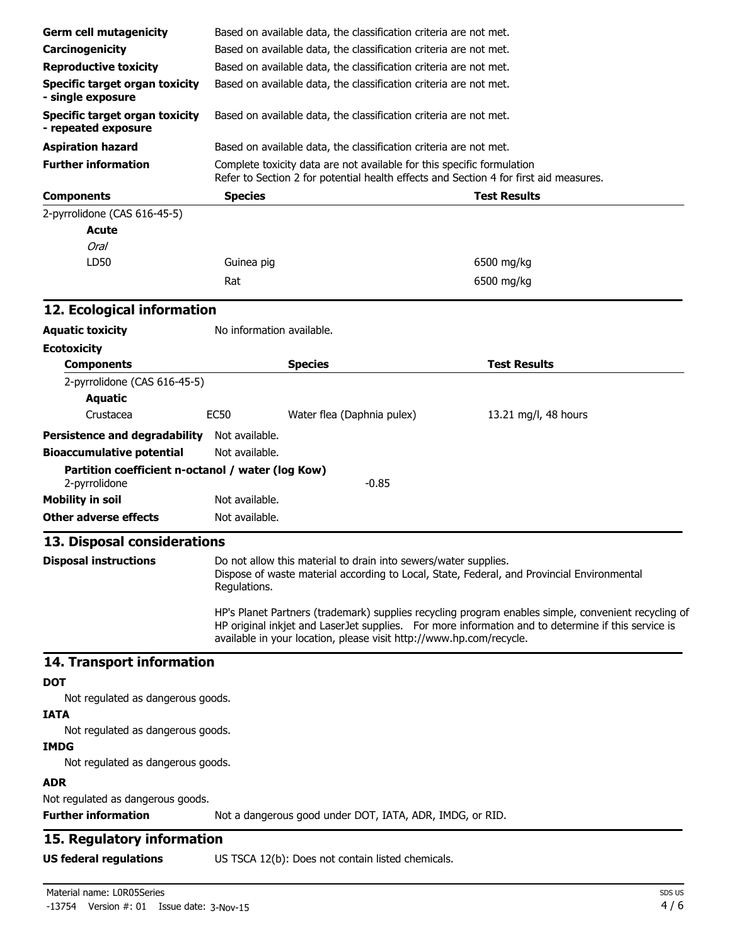| <b>Germ cell mutagenicity</b>                                   |                                                                                                                                                                                                               | Based on available data, the classification criteria are not met.                                                                                               |                                                                                                     |  |  |
|-----------------------------------------------------------------|---------------------------------------------------------------------------------------------------------------------------------------------------------------------------------------------------------------|-----------------------------------------------------------------------------------------------------------------------------------------------------------------|-----------------------------------------------------------------------------------------------------|--|--|
| Carcinogenicity                                                 | Based on available data, the classification criteria are not met.                                                                                                                                             |                                                                                                                                                                 |                                                                                                     |  |  |
| <b>Reproductive toxicity</b>                                    | Based on available data, the classification criteria are not met.                                                                                                                                             |                                                                                                                                                                 |                                                                                                     |  |  |
| <b>Specific target organ toxicity</b>                           |                                                                                                                                                                                                               |                                                                                                                                                                 |                                                                                                     |  |  |
| - single exposure                                               | Based on available data, the classification criteria are not met.                                                                                                                                             |                                                                                                                                                                 |                                                                                                     |  |  |
| <b>Specific target organ toxicity</b><br>- repeated exposure    |                                                                                                                                                                                                               | Based on available data, the classification criteria are not met.                                                                                               |                                                                                                     |  |  |
| <b>Aspiration hazard</b>                                        |                                                                                                                                                                                                               | Based on available data, the classification criteria are not met.                                                                                               |                                                                                                     |  |  |
| <b>Further information</b>                                      |                                                                                                                                                                                                               | Complete toxicity data are not available for this specific formulation<br>Refer to Section 2 for potential health effects and Section 4 for first aid measures. |                                                                                                     |  |  |
| <b>Components</b>                                               | <b>Species</b>                                                                                                                                                                                                |                                                                                                                                                                 | <b>Test Results</b>                                                                                 |  |  |
| 2-pyrrolidone (CAS 616-45-5)                                    |                                                                                                                                                                                                               |                                                                                                                                                                 |                                                                                                     |  |  |
| <b>Acute</b>                                                    |                                                                                                                                                                                                               |                                                                                                                                                                 |                                                                                                     |  |  |
| Oral                                                            |                                                                                                                                                                                                               |                                                                                                                                                                 |                                                                                                     |  |  |
| LD50                                                            | Guinea pig                                                                                                                                                                                                    |                                                                                                                                                                 | 6500 mg/kg                                                                                          |  |  |
|                                                                 | Rat                                                                                                                                                                                                           |                                                                                                                                                                 | 6500 mg/kg                                                                                          |  |  |
| 12. Ecological information                                      |                                                                                                                                                                                                               |                                                                                                                                                                 |                                                                                                     |  |  |
| <b>Aquatic toxicity</b>                                         | No information available.                                                                                                                                                                                     |                                                                                                                                                                 |                                                                                                     |  |  |
| <b>Ecotoxicity</b>                                              |                                                                                                                                                                                                               |                                                                                                                                                                 |                                                                                                     |  |  |
| <b>Components</b>                                               |                                                                                                                                                                                                               | <b>Species</b>                                                                                                                                                  | <b>Test Results</b>                                                                                 |  |  |
| 2-pyrrolidone (CAS 616-45-5)                                    |                                                                                                                                                                                                               |                                                                                                                                                                 |                                                                                                     |  |  |
| <b>Aquatic</b>                                                  |                                                                                                                                                                                                               |                                                                                                                                                                 |                                                                                                     |  |  |
| Crustacea                                                       | <b>EC50</b>                                                                                                                                                                                                   | Water flea (Daphnia pulex)                                                                                                                                      | 13.21 mg/l, 48 hours                                                                                |  |  |
| <b>Persistence and degradability</b>                            | Not available.                                                                                                                                                                                                |                                                                                                                                                                 |                                                                                                     |  |  |
| <b>Bioaccumulative potential</b>                                | Not available.                                                                                                                                                                                                |                                                                                                                                                                 |                                                                                                     |  |  |
| Partition coefficient n-octanol / water (log Kow)               |                                                                                                                                                                                                               |                                                                                                                                                                 |                                                                                                     |  |  |
| 2-pyrrolidone                                                   |                                                                                                                                                                                                               | $-0.85$                                                                                                                                                         |                                                                                                     |  |  |
| <b>Mobility in soil</b>                                         | Not available.                                                                                                                                                                                                |                                                                                                                                                                 |                                                                                                     |  |  |
| <b>Other adverse effects</b>                                    | Not available.                                                                                                                                                                                                |                                                                                                                                                                 |                                                                                                     |  |  |
| 13. Disposal considerations                                     |                                                                                                                                                                                                               |                                                                                                                                                                 |                                                                                                     |  |  |
|                                                                 |                                                                                                                                                                                                               |                                                                                                                                                                 |                                                                                                     |  |  |
|                                                                 | Do not allow this material to drain into sewers/water supplies.<br><b>Disposal instructions</b><br>Dispose of waste material according to Local, State, Federal, and Provincial Environmental<br>Regulations. |                                                                                                                                                                 |                                                                                                     |  |  |
|                                                                 |                                                                                                                                                                                                               |                                                                                                                                                                 | HP's Planet Partners (trademark) supplies recycling program enables simple, convenient recycling of |  |  |
|                                                                 | HP original inkjet and LaserJet supplies. For more information and to determine if this service is<br>available in your location, please visit http://www.hp.com/recycle.                                     |                                                                                                                                                                 |                                                                                                     |  |  |
| 14. Transport information                                       |                                                                                                                                                                                                               |                                                                                                                                                                 |                                                                                                     |  |  |
| <b>DOT</b>                                                      |                                                                                                                                                                                                               |                                                                                                                                                                 |                                                                                                     |  |  |
| Not regulated as dangerous goods.                               |                                                                                                                                                                                                               |                                                                                                                                                                 |                                                                                                     |  |  |
| <b>IATA</b><br>Not regulated as dangerous goods.                |                                                                                                                                                                                                               |                                                                                                                                                                 |                                                                                                     |  |  |
| <b>IMDG</b>                                                     |                                                                                                                                                                                                               |                                                                                                                                                                 |                                                                                                     |  |  |
| Not regulated as dangerous goods.                               |                                                                                                                                                                                                               |                                                                                                                                                                 |                                                                                                     |  |  |
|                                                                 |                                                                                                                                                                                                               |                                                                                                                                                                 |                                                                                                     |  |  |
| <b>ADR</b>                                                      |                                                                                                                                                                                                               |                                                                                                                                                                 |                                                                                                     |  |  |
| Not regulated as dangerous goods.<br><b>Further information</b> |                                                                                                                                                                                                               | Not a dangerous good under DOT, IATA, ADR, IMDG, or RID.                                                                                                        |                                                                                                     |  |  |
|                                                                 |                                                                                                                                                                                                               |                                                                                                                                                                 |                                                                                                     |  |  |
| 15. Regulatory information                                      |                                                                                                                                                                                                               |                                                                                                                                                                 |                                                                                                     |  |  |
| <b>US federal regulations</b>                                   |                                                                                                                                                                                                               | US TSCA 12(b): Does not contain listed chemicals.                                                                                                               |                                                                                                     |  |  |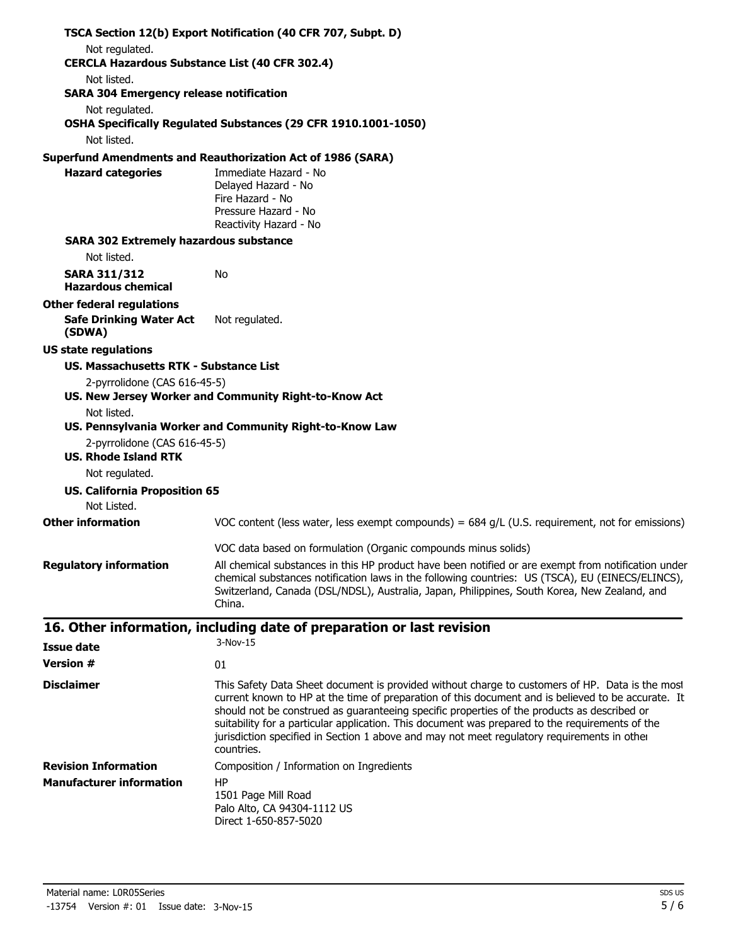|                                                             | TSCA Section 12(b) Export Notification (40 CFR 707, Subpt. D)                                                                                                                                                                                                                                                                                                                                                                                                                                                        |
|-------------------------------------------------------------|----------------------------------------------------------------------------------------------------------------------------------------------------------------------------------------------------------------------------------------------------------------------------------------------------------------------------------------------------------------------------------------------------------------------------------------------------------------------------------------------------------------------|
| Not regulated.                                              |                                                                                                                                                                                                                                                                                                                                                                                                                                                                                                                      |
| <b>CERCLA Hazardous Substance List (40 CFR 302.4)</b>       |                                                                                                                                                                                                                                                                                                                                                                                                                                                                                                                      |
| Not listed.                                                 |                                                                                                                                                                                                                                                                                                                                                                                                                                                                                                                      |
| <b>SARA 304 Emergency release notification</b>              |                                                                                                                                                                                                                                                                                                                                                                                                                                                                                                                      |
| Not regulated.                                              | OSHA Specifically Regulated Substances (29 CFR 1910.1001-1050)                                                                                                                                                                                                                                                                                                                                                                                                                                                       |
| Not listed.                                                 |                                                                                                                                                                                                                                                                                                                                                                                                                                                                                                                      |
|                                                             | <b>Superfund Amendments and Reauthorization Act of 1986 (SARA)</b>                                                                                                                                                                                                                                                                                                                                                                                                                                                   |
| <b>Hazard categories</b>                                    | Immediate Hazard - No<br>Delayed Hazard - No<br>Fire Hazard - No<br>Pressure Hazard - No<br>Reactivity Hazard - No                                                                                                                                                                                                                                                                                                                                                                                                   |
| <b>SARA 302 Extremely hazardous substance</b>               |                                                                                                                                                                                                                                                                                                                                                                                                                                                                                                                      |
| Not listed.                                                 |                                                                                                                                                                                                                                                                                                                                                                                                                                                                                                                      |
| <b>SARA 311/312</b>                                         | No                                                                                                                                                                                                                                                                                                                                                                                                                                                                                                                   |
| <b>Hazardous chemical</b>                                   |                                                                                                                                                                                                                                                                                                                                                                                                                                                                                                                      |
| <b>Other federal regulations</b>                            |                                                                                                                                                                                                                                                                                                                                                                                                                                                                                                                      |
| <b>Safe Drinking Water Act</b><br>(SDWA)                    | Not regulated.                                                                                                                                                                                                                                                                                                                                                                                                                                                                                                       |
| <b>US state regulations</b>                                 |                                                                                                                                                                                                                                                                                                                                                                                                                                                                                                                      |
| US. Massachusetts RTK - Substance List                      |                                                                                                                                                                                                                                                                                                                                                                                                                                                                                                                      |
| 2-pyrrolidone (CAS 616-45-5)                                |                                                                                                                                                                                                                                                                                                                                                                                                                                                                                                                      |
|                                                             | US. New Jersey Worker and Community Right-to-Know Act                                                                                                                                                                                                                                                                                                                                                                                                                                                                |
| Not listed.                                                 |                                                                                                                                                                                                                                                                                                                                                                                                                                                                                                                      |
|                                                             | US. Pennsylvania Worker and Community Right-to-Know Law                                                                                                                                                                                                                                                                                                                                                                                                                                                              |
| 2-pyrrolidone (CAS 616-45-5)<br><b>US. Rhode Island RTK</b> |                                                                                                                                                                                                                                                                                                                                                                                                                                                                                                                      |
| Not regulated.                                              |                                                                                                                                                                                                                                                                                                                                                                                                                                                                                                                      |
| <b>US. California Proposition 65</b>                        |                                                                                                                                                                                                                                                                                                                                                                                                                                                                                                                      |
| Not Listed.<br><b>Other information</b>                     |                                                                                                                                                                                                                                                                                                                                                                                                                                                                                                                      |
|                                                             | VOC content (less water, less exempt compounds) = $684$ g/L (U.S. requirement, not for emissions)                                                                                                                                                                                                                                                                                                                                                                                                                    |
|                                                             | VOC data based on formulation (Organic compounds minus solids)                                                                                                                                                                                                                                                                                                                                                                                                                                                       |
| <b>Regulatory information</b>                               | All chemical substances in this HP product have been notified or are exempt from notification under<br>chemical substances notification laws in the following countries: US (TSCA), EU (EINECS/ELINCS),<br>Switzerland, Canada (DSL/NDSL), Australia, Japan, Philippines, South Korea, New Zealand, and<br>China.                                                                                                                                                                                                    |
|                                                             | 16. Other information, including date of preparation or last revision                                                                                                                                                                                                                                                                                                                                                                                                                                                |
| <b>Issue date</b>                                           | 3-Nov-15                                                                                                                                                                                                                                                                                                                                                                                                                                                                                                             |
| <b>Version #</b>                                            | 01                                                                                                                                                                                                                                                                                                                                                                                                                                                                                                                   |
| <b>Disclaimer</b>                                           |                                                                                                                                                                                                                                                                                                                                                                                                                                                                                                                      |
|                                                             | This Safety Data Sheet document is provided without charge to customers of HP. Data is the most<br>current known to HP at the time of preparation of this document and is believed to be accurate. It<br>should not be construed as guaranteeing specific properties of the products as described or<br>suitability for a particular application. This document was prepared to the requirements of the<br>jurisdiction specified in Section 1 above and may not meet regulatory requirements in other<br>countries. |
| <b>Revision Information</b>                                 | Composition / Information on Ingredients                                                                                                                                                                                                                                                                                                                                                                                                                                                                             |
| <b>Manufacturer information</b>                             | HP                                                                                                                                                                                                                                                                                                                                                                                                                                                                                                                   |
|                                                             | 1501 Page Mill Road<br>Palo Alto, CA 94304-1112 US<br>Direct 1-650-857-5020                                                                                                                                                                                                                                                                                                                                                                                                                                          |
| Material name: L0R05Series                                  | SDS US                                                                                                                                                                                                                                                                                                                                                                                                                                                                                                               |
| $-13754$ Version $\#$ : 01 Issue date: 3-Nov-15             | 5/6                                                                                                                                                                                                                                                                                                                                                                                                                                                                                                                  |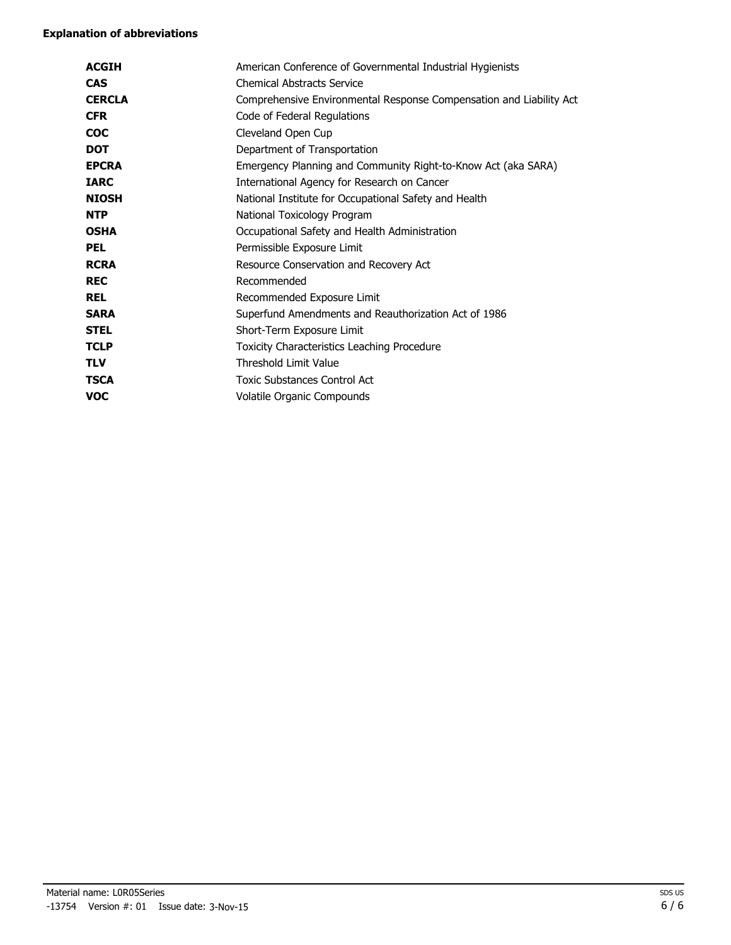| <b>ACGIH</b>  | American Conference of Governmental Industrial Hygienists           |
|---------------|---------------------------------------------------------------------|
| <b>CAS</b>    | <b>Chemical Abstracts Service</b>                                   |
| <b>CERCLA</b> | Comprehensive Environmental Response Compensation and Liability Act |
| <b>CFR</b>    | Code of Federal Regulations                                         |
| <b>COC</b>    | Cleveland Open Cup                                                  |
| <b>DOT</b>    | Department of Transportation                                        |
| <b>EPCRA</b>  | Emergency Planning and Community Right-to-Know Act (aka SARA)       |
| <b>IARC</b>   | International Agency for Research on Cancer                         |
| <b>NIOSH</b>  | National Institute for Occupational Safety and Health               |
| <b>NTP</b>    | National Toxicology Program                                         |
| <b>OSHA</b>   | Occupational Safety and Health Administration                       |
| <b>PEL</b>    | Permissible Exposure Limit                                          |
| <b>RCRA</b>   | Resource Conservation and Recovery Act                              |
| <b>REC</b>    | Recommended                                                         |
| <b>REL</b>    | Recommended Exposure Limit                                          |
| <b>SARA</b>   | Superfund Amendments and Reauthorization Act of 1986                |
| <b>STEL</b>   | Short-Term Exposure Limit                                           |
| <b>TCLP</b>   | Toxicity Characteristics Leaching Procedure                         |
| <b>TLV</b>    | Threshold Limit Value                                               |
| <b>TSCA</b>   | <b>Toxic Substances Control Act</b>                                 |
| <b>VOC</b>    | Volatile Organic Compounds                                          |
|               |                                                                     |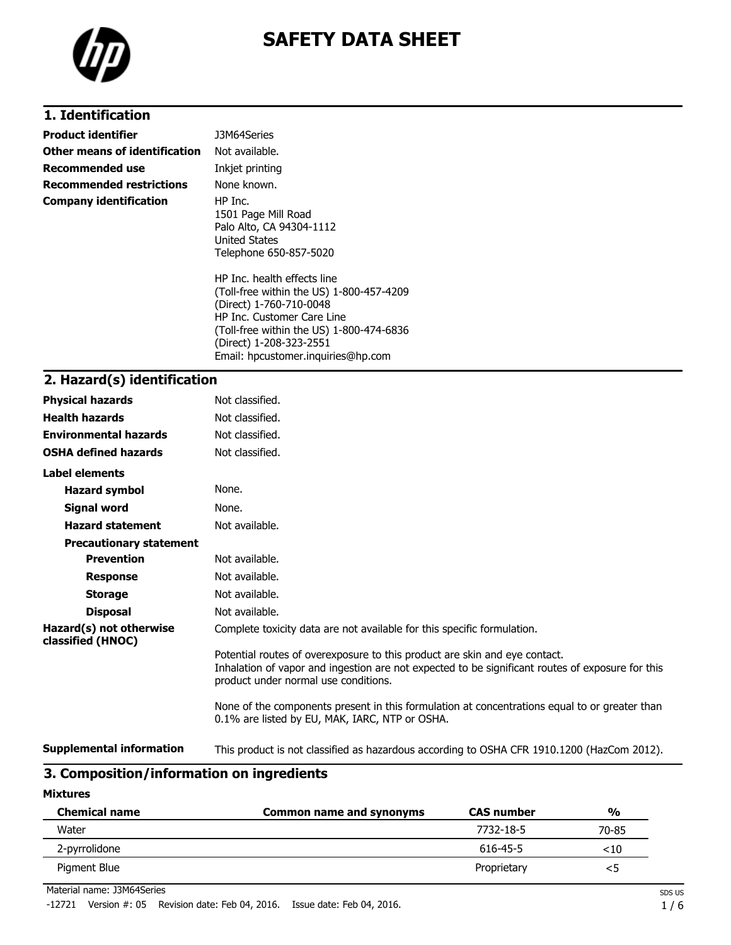

# **1. Identification**

| <b>Product identifier</b>     | J3M64Series                                                                                                                                                                                                                                   |
|-------------------------------|-----------------------------------------------------------------------------------------------------------------------------------------------------------------------------------------------------------------------------------------------|
| Other means of identification | Not available.                                                                                                                                                                                                                                |
| Recommended use               | Inkjet printing                                                                                                                                                                                                                               |
| Recommended restrictions      | None known.                                                                                                                                                                                                                                   |
| <b>Company identification</b> | HP Inc.<br>1501 Page Mill Road<br>Palo Alto, CA 94304-1112<br>United States<br>Telephone 650-857-5020                                                                                                                                         |
|                               | HP Inc. health effects line<br>(Toll-free within the US) 1-800-457-4209<br>(Direct) 1-760-710-0048<br>HP Inc. Customer Care Line<br>(Toll-free within the US) 1-800-474-6836<br>(Direct) 1-208-323-2551<br>Email: hpcustomer.inquiries@hp.com |

### **2. Hazard(s) identification**

| <b>Physical hazards</b>                      | Not classified.                                                                                                                                                                                                        |
|----------------------------------------------|------------------------------------------------------------------------------------------------------------------------------------------------------------------------------------------------------------------------|
| <b>Health hazards</b>                        | Not classified.                                                                                                                                                                                                        |
| <b>Environmental hazards</b>                 | Not classified.                                                                                                                                                                                                        |
| <b>OSHA defined hazards</b>                  | Not classified.                                                                                                                                                                                                        |
| Label elements                               |                                                                                                                                                                                                                        |
| <b>Hazard symbol</b>                         | None.                                                                                                                                                                                                                  |
| Signal word                                  | None.                                                                                                                                                                                                                  |
| <b>Hazard statement</b>                      | Not available.                                                                                                                                                                                                         |
| <b>Precautionary statement</b>               |                                                                                                                                                                                                                        |
| <b>Prevention</b>                            | Not available.                                                                                                                                                                                                         |
| <b>Response</b>                              | Not available.                                                                                                                                                                                                         |
| <b>Storage</b>                               | Not available.                                                                                                                                                                                                         |
| <b>Disposal</b>                              | Not available.                                                                                                                                                                                                         |
| Hazard(s) not otherwise<br>classified (HNOC) | Complete toxicity data are not available for this specific formulation.                                                                                                                                                |
|                                              | Potential routes of overexposure to this product are skin and eye contact.<br>Inhalation of vapor and ingestion are not expected to be significant routes of exposure for this<br>product under normal use conditions. |
|                                              | None of the components present in this formulation at concentrations equal to or greater than<br>0.1% are listed by EU, MAK, IARC, NTP or OSHA.                                                                        |
| <b>Supplemental information</b>              | This product is not classified as hazardous according to OSHA CFR 1910.1200 (HazCom 2012).                                                                                                                             |

# **3. Composition/information on ingredients**

#### **Mixtures**

| <b>Chemical name</b> | Common name and synonyms | <b>CAS number</b> | $\frac{0}{0}$ |
|----------------------|--------------------------|-------------------|---------------|
| Water                |                          | 7732-18-5         | 70-85         |
| 2-pyrrolidone        |                          | 616-45-5          | $<$ 10        |
| Pigment Blue         |                          | Proprietary       | - 3           |

Material name: J3M64Series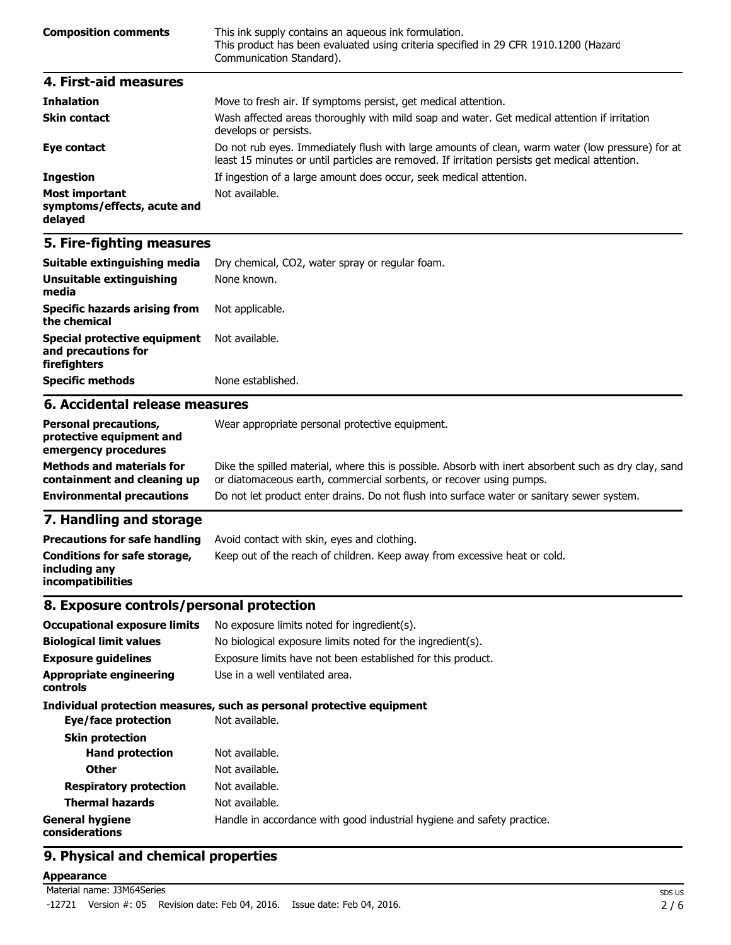| <b>Composition comments</b> | This ink supply contains an aqueous ink formulation.<br>This product has been evaluated using criteria specified in 29 CFR 1910.1200 (Hazard<br>Communication Standard). |
|-----------------------------|--------------------------------------------------------------------------------------------------------------------------------------------------------------------------|
| 4. First-aid measures       |                                                                                                                                                                          |
| <b>Teleslation</b>          | Mouse to froch air. If symptoms norsist, not modical attention                                                                                                           |

| THIRRHOH                                                        | <u>riove to fresh all. It syniptoms persist, get medical attention.</u>                                                                                                                            |
|-----------------------------------------------------------------|----------------------------------------------------------------------------------------------------------------------------------------------------------------------------------------------------|
| <b>Skin contact</b>                                             | Wash affected areas thoroughly with mild soap and water. Get medical attention if irritation<br>develops or persists.                                                                              |
| Eye contact                                                     | Do not rub eyes. Immediately flush with large amounts of clean, warm water (low pressure) for at<br>least 15 minutes or until particles are removed. If irritation persists get medical attention. |
| <b>Ingestion</b>                                                | If ingestion of a large amount does occur, seek medical attention.                                                                                                                                 |
| <b>Most important</b><br>symptoms/effects, acute and<br>delayed | Not available.                                                                                                                                                                                     |

| Suitable extinguishing media                                               | Dry chemical, CO2, water spray or regular foam. |
|----------------------------------------------------------------------------|-------------------------------------------------|
| Unsuitable extinguishing<br>media                                          | None known.                                     |
| <b>Specific hazards arising from</b><br>the chemical                       | Not applicable.                                 |
| <b>Special protective equipment</b><br>and precautions for<br>firefighters | Not available.                                  |
| <b>Specific methods</b>                                                    | None established.                               |
| 6. Accidental release measures                                             |                                                 |

#### **Personal precautions, protective equipment and emergency procedures** Wear appropriate personal protective equipment. **Methods and materials for containment and cleaning up** Dike the spilled material, where this is possible. Absorb with inert absorbent such as dry clay, sand or diatomaceous earth, commercial sorbents, or recover using pumps. **Environmental precautions** Do not let product enter drains. Do not flush into surface water or sanitary sewer system.

### **7. Handling and storage**

| <b>Precautions for safe handling</b>                                      | Avoid contact with skin, eyes and clothing.                               |
|---------------------------------------------------------------------------|---------------------------------------------------------------------------|
| Conditions for safe storage,<br>including any<br><b>incompatibilities</b> | Keep out of the reach of children. Keep away from excessive heat or cold. |

### **8. Exposure controls/personal protection**

| <b>Occupational exposure limits</b>        | No exposure limits noted for ingredient(s).                            |  |
|--------------------------------------------|------------------------------------------------------------------------|--|
| <b>Biological limit values</b>             | No biological exposure limits noted for the ingredient(s).             |  |
| <b>Exposure guidelines</b>                 | Exposure limits have not been established for this product.            |  |
| <b>Appropriate engineering</b><br>controls | Use in a well ventilated area.                                         |  |
|                                            | Individual protection measures, such as personal protective equipment  |  |
| Eye/face protection                        | Not available.                                                         |  |
| <b>Skin protection</b>                     |                                                                        |  |
| <b>Hand protection</b>                     | Not available.                                                         |  |
| <b>Other</b>                               | Not available.                                                         |  |
| <b>Respiratory protection</b>              | Not available.                                                         |  |
| <b>Thermal hazards</b>                     | Not available.                                                         |  |
| <b>General hygiene</b><br>considerations   | Handle in accordance with good industrial hygiene and safety practice. |  |

## **9. Physical and chemical properties**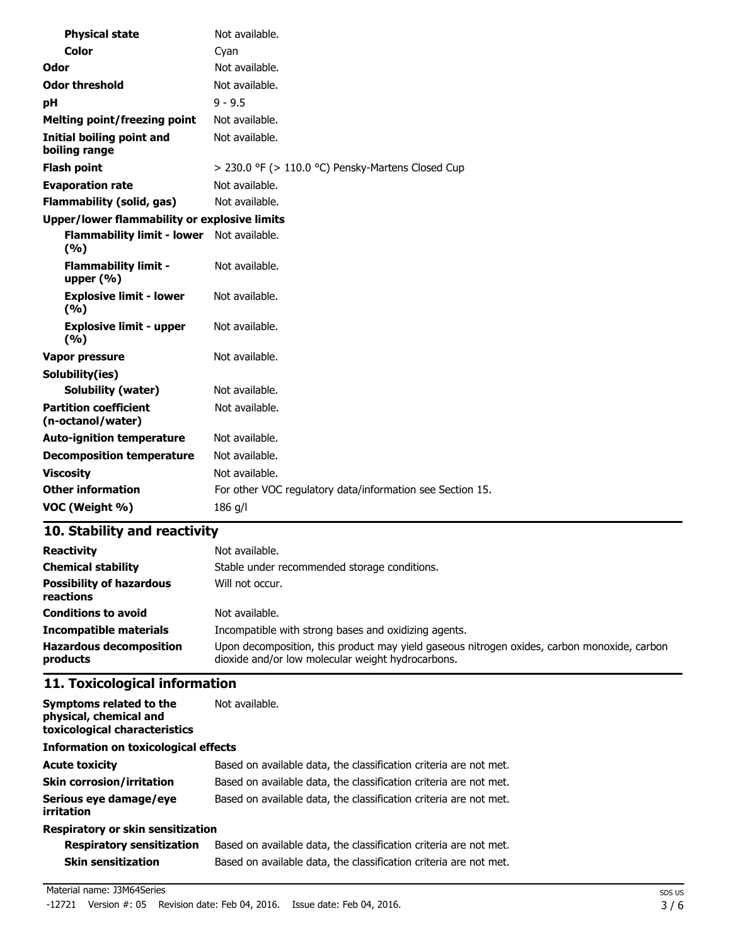| <b>Physical state</b>                               | Not available.                                            |
|-----------------------------------------------------|-----------------------------------------------------------|
| Color                                               | Cyan                                                      |
| Odor                                                | Not available.                                            |
| <b>Odor threshold</b>                               | Not available.                                            |
| рH                                                  | $9 - 9.5$                                                 |
| <b>Melting point/freezing point</b>                 | Not available.                                            |
| <b>Initial boiling point and</b><br>boiling range   | Not available.                                            |
| <b>Flash point</b>                                  | > 230.0 °F (> 110.0 °C) Pensky-Martens Closed Cup         |
| <b>Evaporation rate</b>                             | Not available.                                            |
| <b>Flammability (solid, gas)</b>                    | Not available.                                            |
| <b>Upper/lower flammability or explosive limits</b> |                                                           |
| <b>Flammability limit - lower</b><br>(%)            | Not available.                                            |
| <b>Flammability limit -</b><br>upper $(% )$         | Not available.                                            |
| <b>Explosive limit - lower</b><br>(%)               | Not available.                                            |
| <b>Explosive limit - upper</b><br>(%)               | Not available.                                            |
| <b>Vapor pressure</b>                               | Not available.                                            |
| Solubility(ies)                                     |                                                           |
| <b>Solubility (water)</b>                           | Not available.                                            |
| <b>Partition coefficient</b><br>(n-octanol/water)   | Not available.                                            |
| <b>Auto-ignition temperature</b>                    | Not available.                                            |
| <b>Decomposition temperature</b>                    | Not available.                                            |
| <b>Viscosity</b>                                    | Not available.                                            |
| <b>Other information</b>                            | For other VOC regulatory data/information see Section 15. |
| VOC (Weight %)                                      | 186 g/l                                                   |

| <b>Reactivity</b>                            | Not available.                                                                                                                                   |
|----------------------------------------------|--------------------------------------------------------------------------------------------------------------------------------------------------|
| <b>Chemical stability</b>                    | Stable under recommended storage conditions.                                                                                                     |
| <b>Possibility of hazardous</b><br>reactions | Will not occur.                                                                                                                                  |
| <b>Conditions to avoid</b>                   | Not available.                                                                                                                                   |
| <b>Incompatible materials</b>                | Incompatible with strong bases and oxidizing agents.                                                                                             |
| <b>Hazardous decomposition</b><br>products   | Upon decomposition, this product may yield gaseous nitrogen oxides, carbon monoxide, carbon<br>dioxide and/or low molecular weight hydrocarbons. |

# **11. Toxicological information**

| Symptoms related to the<br>physical, chemical and<br>toxicological characteristics | Not available.                                                    |  |  |  |
|------------------------------------------------------------------------------------|-------------------------------------------------------------------|--|--|--|
| <b>Information on toxicological effects</b>                                        |                                                                   |  |  |  |
| <b>Acute toxicity</b>                                                              | Based on available data, the classification criteria are not met. |  |  |  |
| <b>Skin corrosion/irritation</b>                                                   | Based on available data, the classification criteria are not met. |  |  |  |
| Serious eye damage/eye<br>irritation                                               | Based on available data, the classification criteria are not met. |  |  |  |
| Respiratory or skin sensitization                                                  |                                                                   |  |  |  |

| <b>Respiratory sensitization</b> | Based on available data, the classification criteria are not met. |
|----------------------------------|-------------------------------------------------------------------|
| Skin sensitization               | Based on available data, the classification criteria are not met. |

#### Material name: J3M64Series

-12721 Version #: 05 Revision date: Feb 04, 2016. Issue date: Feb 04, 2016.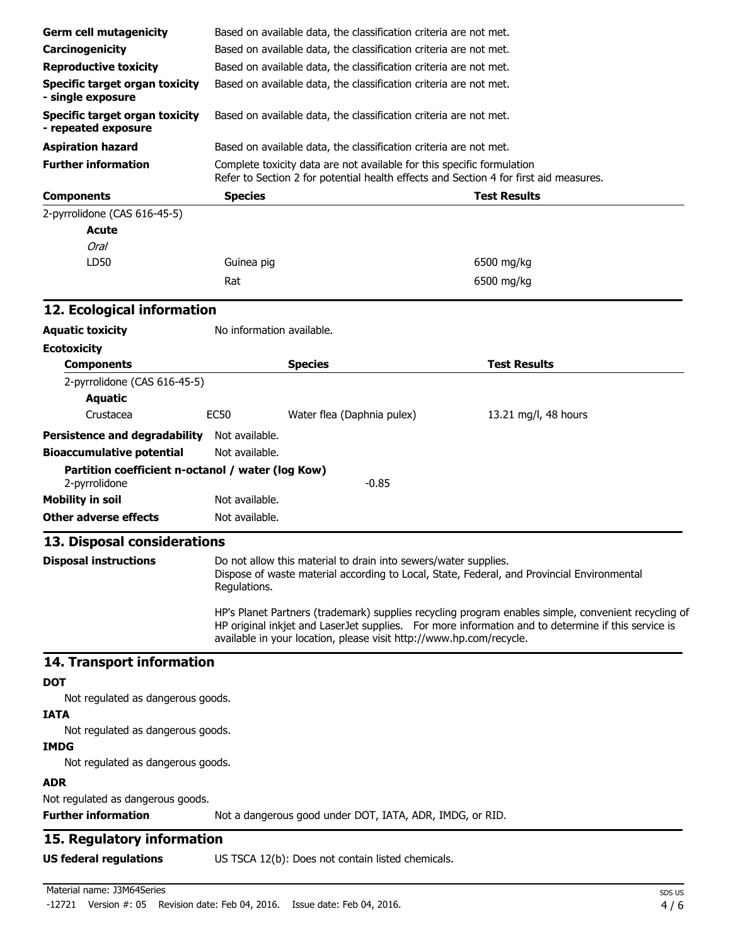| Carcinogenicity<br>Based on available data, the classification criteria are not met.<br><b>Reproductive toxicity</b><br>Based on available data, the classification criteria are not met.<br><b>Specific target organ toxicity</b><br>Based on available data, the classification criteria are not met.<br>Based on available data, the classification criteria are not met.<br>- repeated exposure<br>Based on available data, the classification criteria are not met.<br>Complete toxicity data are not available for this specific formulation<br>Refer to Section 2 for potential health effects and Section 4 for first aid measures.<br><b>Test Results</b><br><b>Species</b><br><b>Acute</b><br><b>Oral</b><br>LD50<br>6500 mg/kg<br>Guinea pig<br>6500 mg/kg<br>Rat<br>12. Ecological information<br>No information available.<br><b>Species</b><br><b>Test Results</b><br><b>Components</b><br>2-pyrrolidone (CAS 616-45-5)<br><b>Aquatic</b><br><b>EC50</b><br>Crustacea<br>Water flea (Daphnia pulex)<br>13.21 mg/l, 48 hours<br>Persistence and degradability Not available.<br><b>Bioaccumulative potential</b><br>Not available.<br>Partition coefficient n-octanol / water (log Kow)<br>2-pyrrolidone<br>$-0.85$<br>Not available.<br>Not available.<br>13. Disposal considerations<br>Do not allow this material to drain into sewers/water supplies.<br>Dispose of waste material according to Local, State, Federal, and Provincial Environmental<br>Regulations.<br>HP's Planet Partners (trademark) supplies recycling program enables simple, convenient recycling of<br>HP original inkjet and LaserJet supplies. For more information and to determine if this service is<br>available in your location, please visit http://www.hp.com/recycle.<br>14. Transport information<br>Not regulated as dangerous goods.<br><b>IATA</b><br>Not regulated as dangerous goods.<br><b>IMDG</b><br>Not regulated as dangerous goods.<br><b>ADR</b><br>Not regulated as dangerous goods.<br><b>Further information</b><br>Not a dangerous good under DOT, IATA, ADR, IMDG, or RID.<br>15. Regulatory information<br>US TSCA 12(b): Does not contain listed chemicals. | <b>Germ cell mutagenicity</b>         |  | Based on available data, the classification criteria are not met. |  |  |  |  |
|------------------------------------------------------------------------------------------------------------------------------------------------------------------------------------------------------------------------------------------------------------------------------------------------------------------------------------------------------------------------------------------------------------------------------------------------------------------------------------------------------------------------------------------------------------------------------------------------------------------------------------------------------------------------------------------------------------------------------------------------------------------------------------------------------------------------------------------------------------------------------------------------------------------------------------------------------------------------------------------------------------------------------------------------------------------------------------------------------------------------------------------------------------------------------------------------------------------------------------------------------------------------------------------------------------------------------------------------------------------------------------------------------------------------------------------------------------------------------------------------------------------------------------------------------------------------------------------------------------------------------------------------------------------------------------------------------------------------------------------------------------------------------------------------------------------------------------------------------------------------------------------------------------------------------------------------------------------------------------------------------------------------------------------------------------------------------------------------------------------------------------------------------------------------------------|---------------------------------------|--|-------------------------------------------------------------------|--|--|--|--|
|                                                                                                                                                                                                                                                                                                                                                                                                                                                                                                                                                                                                                                                                                                                                                                                                                                                                                                                                                                                                                                                                                                                                                                                                                                                                                                                                                                                                                                                                                                                                                                                                                                                                                                                                                                                                                                                                                                                                                                                                                                                                                                                                                                                    |                                       |  |                                                                   |  |  |  |  |
|                                                                                                                                                                                                                                                                                                                                                                                                                                                                                                                                                                                                                                                                                                                                                                                                                                                                                                                                                                                                                                                                                                                                                                                                                                                                                                                                                                                                                                                                                                                                                                                                                                                                                                                                                                                                                                                                                                                                                                                                                                                                                                                                                                                    |                                       |  |                                                                   |  |  |  |  |
|                                                                                                                                                                                                                                                                                                                                                                                                                                                                                                                                                                                                                                                                                                                                                                                                                                                                                                                                                                                                                                                                                                                                                                                                                                                                                                                                                                                                                                                                                                                                                                                                                                                                                                                                                                                                                                                                                                                                                                                                                                                                                                                                                                                    |                                       |  |                                                                   |  |  |  |  |
|                                                                                                                                                                                                                                                                                                                                                                                                                                                                                                                                                                                                                                                                                                                                                                                                                                                                                                                                                                                                                                                                                                                                                                                                                                                                                                                                                                                                                                                                                                                                                                                                                                                                                                                                                                                                                                                                                                                                                                                                                                                                                                                                                                                    | - single exposure                     |  |                                                                   |  |  |  |  |
|                                                                                                                                                                                                                                                                                                                                                                                                                                                                                                                                                                                                                                                                                                                                                                                                                                                                                                                                                                                                                                                                                                                                                                                                                                                                                                                                                                                                                                                                                                                                                                                                                                                                                                                                                                                                                                                                                                                                                                                                                                                                                                                                                                                    | <b>Specific target organ toxicity</b> |  |                                                                   |  |  |  |  |
|                                                                                                                                                                                                                                                                                                                                                                                                                                                                                                                                                                                                                                                                                                                                                                                                                                                                                                                                                                                                                                                                                                                                                                                                                                                                                                                                                                                                                                                                                                                                                                                                                                                                                                                                                                                                                                                                                                                                                                                                                                                                                                                                                                                    | <b>Aspiration hazard</b>              |  |                                                                   |  |  |  |  |
|                                                                                                                                                                                                                                                                                                                                                                                                                                                                                                                                                                                                                                                                                                                                                                                                                                                                                                                                                                                                                                                                                                                                                                                                                                                                                                                                                                                                                                                                                                                                                                                                                                                                                                                                                                                                                                                                                                                                                                                                                                                                                                                                                                                    | <b>Further information</b>            |  |                                                                   |  |  |  |  |
|                                                                                                                                                                                                                                                                                                                                                                                                                                                                                                                                                                                                                                                                                                                                                                                                                                                                                                                                                                                                                                                                                                                                                                                                                                                                                                                                                                                                                                                                                                                                                                                                                                                                                                                                                                                                                                                                                                                                                                                                                                                                                                                                                                                    | <b>Components</b>                     |  |                                                                   |  |  |  |  |
|                                                                                                                                                                                                                                                                                                                                                                                                                                                                                                                                                                                                                                                                                                                                                                                                                                                                                                                                                                                                                                                                                                                                                                                                                                                                                                                                                                                                                                                                                                                                                                                                                                                                                                                                                                                                                                                                                                                                                                                                                                                                                                                                                                                    | 2-pyrrolidone (CAS 616-45-5)          |  |                                                                   |  |  |  |  |
|                                                                                                                                                                                                                                                                                                                                                                                                                                                                                                                                                                                                                                                                                                                                                                                                                                                                                                                                                                                                                                                                                                                                                                                                                                                                                                                                                                                                                                                                                                                                                                                                                                                                                                                                                                                                                                                                                                                                                                                                                                                                                                                                                                                    |                                       |  |                                                                   |  |  |  |  |
|                                                                                                                                                                                                                                                                                                                                                                                                                                                                                                                                                                                                                                                                                                                                                                                                                                                                                                                                                                                                                                                                                                                                                                                                                                                                                                                                                                                                                                                                                                                                                                                                                                                                                                                                                                                                                                                                                                                                                                                                                                                                                                                                                                                    |                                       |  |                                                                   |  |  |  |  |
|                                                                                                                                                                                                                                                                                                                                                                                                                                                                                                                                                                                                                                                                                                                                                                                                                                                                                                                                                                                                                                                                                                                                                                                                                                                                                                                                                                                                                                                                                                                                                                                                                                                                                                                                                                                                                                                                                                                                                                                                                                                                                                                                                                                    |                                       |  |                                                                   |  |  |  |  |
|                                                                                                                                                                                                                                                                                                                                                                                                                                                                                                                                                                                                                                                                                                                                                                                                                                                                                                                                                                                                                                                                                                                                                                                                                                                                                                                                                                                                                                                                                                                                                                                                                                                                                                                                                                                                                                                                                                                                                                                                                                                                                                                                                                                    |                                       |  |                                                                   |  |  |  |  |
|                                                                                                                                                                                                                                                                                                                                                                                                                                                                                                                                                                                                                                                                                                                                                                                                                                                                                                                                                                                                                                                                                                                                                                                                                                                                                                                                                                                                                                                                                                                                                                                                                                                                                                                                                                                                                                                                                                                                                                                                                                                                                                                                                                                    |                                       |  |                                                                   |  |  |  |  |
|                                                                                                                                                                                                                                                                                                                                                                                                                                                                                                                                                                                                                                                                                                                                                                                                                                                                                                                                                                                                                                                                                                                                                                                                                                                                                                                                                                                                                                                                                                                                                                                                                                                                                                                                                                                                                                                                                                                                                                                                                                                                                                                                                                                    | <b>Aquatic toxicity</b>               |  |                                                                   |  |  |  |  |
|                                                                                                                                                                                                                                                                                                                                                                                                                                                                                                                                                                                                                                                                                                                                                                                                                                                                                                                                                                                                                                                                                                                                                                                                                                                                                                                                                                                                                                                                                                                                                                                                                                                                                                                                                                                                                                                                                                                                                                                                                                                                                                                                                                                    | <b>Ecotoxicity</b>                    |  |                                                                   |  |  |  |  |
|                                                                                                                                                                                                                                                                                                                                                                                                                                                                                                                                                                                                                                                                                                                                                                                                                                                                                                                                                                                                                                                                                                                                                                                                                                                                                                                                                                                                                                                                                                                                                                                                                                                                                                                                                                                                                                                                                                                                                                                                                                                                                                                                                                                    |                                       |  |                                                                   |  |  |  |  |
|                                                                                                                                                                                                                                                                                                                                                                                                                                                                                                                                                                                                                                                                                                                                                                                                                                                                                                                                                                                                                                                                                                                                                                                                                                                                                                                                                                                                                                                                                                                                                                                                                                                                                                                                                                                                                                                                                                                                                                                                                                                                                                                                                                                    |                                       |  |                                                                   |  |  |  |  |
|                                                                                                                                                                                                                                                                                                                                                                                                                                                                                                                                                                                                                                                                                                                                                                                                                                                                                                                                                                                                                                                                                                                                                                                                                                                                                                                                                                                                                                                                                                                                                                                                                                                                                                                                                                                                                                                                                                                                                                                                                                                                                                                                                                                    |                                       |  |                                                                   |  |  |  |  |
|                                                                                                                                                                                                                                                                                                                                                                                                                                                                                                                                                                                                                                                                                                                                                                                                                                                                                                                                                                                                                                                                                                                                                                                                                                                                                                                                                                                                                                                                                                                                                                                                                                                                                                                                                                                                                                                                                                                                                                                                                                                                                                                                                                                    |                                       |  |                                                                   |  |  |  |  |
|                                                                                                                                                                                                                                                                                                                                                                                                                                                                                                                                                                                                                                                                                                                                                                                                                                                                                                                                                                                                                                                                                                                                                                                                                                                                                                                                                                                                                                                                                                                                                                                                                                                                                                                                                                                                                                                                                                                                                                                                                                                                                                                                                                                    |                                       |  |                                                                   |  |  |  |  |
|                                                                                                                                                                                                                                                                                                                                                                                                                                                                                                                                                                                                                                                                                                                                                                                                                                                                                                                                                                                                                                                                                                                                                                                                                                                                                                                                                                                                                                                                                                                                                                                                                                                                                                                                                                                                                                                                                                                                                                                                                                                                                                                                                                                    |                                       |  |                                                                   |  |  |  |  |
|                                                                                                                                                                                                                                                                                                                                                                                                                                                                                                                                                                                                                                                                                                                                                                                                                                                                                                                                                                                                                                                                                                                                                                                                                                                                                                                                                                                                                                                                                                                                                                                                                                                                                                                                                                                                                                                                                                                                                                                                                                                                                                                                                                                    |                                       |  |                                                                   |  |  |  |  |
|                                                                                                                                                                                                                                                                                                                                                                                                                                                                                                                                                                                                                                                                                                                                                                                                                                                                                                                                                                                                                                                                                                                                                                                                                                                                                                                                                                                                                                                                                                                                                                                                                                                                                                                                                                                                                                                                                                                                                                                                                                                                                                                                                                                    |                                       |  |                                                                   |  |  |  |  |
|                                                                                                                                                                                                                                                                                                                                                                                                                                                                                                                                                                                                                                                                                                                                                                                                                                                                                                                                                                                                                                                                                                                                                                                                                                                                                                                                                                                                                                                                                                                                                                                                                                                                                                                                                                                                                                                                                                                                                                                                                                                                                                                                                                                    | <b>Mobility in soil</b>               |  |                                                                   |  |  |  |  |
|                                                                                                                                                                                                                                                                                                                                                                                                                                                                                                                                                                                                                                                                                                                                                                                                                                                                                                                                                                                                                                                                                                                                                                                                                                                                                                                                                                                                                                                                                                                                                                                                                                                                                                                                                                                                                                                                                                                                                                                                                                                                                                                                                                                    | <b>Other adverse effects</b>          |  |                                                                   |  |  |  |  |
|                                                                                                                                                                                                                                                                                                                                                                                                                                                                                                                                                                                                                                                                                                                                                                                                                                                                                                                                                                                                                                                                                                                                                                                                                                                                                                                                                                                                                                                                                                                                                                                                                                                                                                                                                                                                                                                                                                                                                                                                                                                                                                                                                                                    |                                       |  |                                                                   |  |  |  |  |
|                                                                                                                                                                                                                                                                                                                                                                                                                                                                                                                                                                                                                                                                                                                                                                                                                                                                                                                                                                                                                                                                                                                                                                                                                                                                                                                                                                                                                                                                                                                                                                                                                                                                                                                                                                                                                                                                                                                                                                                                                                                                                                                                                                                    | <b>Disposal instructions</b>          |  |                                                                   |  |  |  |  |
|                                                                                                                                                                                                                                                                                                                                                                                                                                                                                                                                                                                                                                                                                                                                                                                                                                                                                                                                                                                                                                                                                                                                                                                                                                                                                                                                                                                                                                                                                                                                                                                                                                                                                                                                                                                                                                                                                                                                                                                                                                                                                                                                                                                    |                                       |  |                                                                   |  |  |  |  |
|                                                                                                                                                                                                                                                                                                                                                                                                                                                                                                                                                                                                                                                                                                                                                                                                                                                                                                                                                                                                                                                                                                                                                                                                                                                                                                                                                                                                                                                                                                                                                                                                                                                                                                                                                                                                                                                                                                                                                                                                                                                                                                                                                                                    |                                       |  |                                                                   |  |  |  |  |
|                                                                                                                                                                                                                                                                                                                                                                                                                                                                                                                                                                                                                                                                                                                                                                                                                                                                                                                                                                                                                                                                                                                                                                                                                                                                                                                                                                                                                                                                                                                                                                                                                                                                                                                                                                                                                                                                                                                                                                                                                                                                                                                                                                                    | <b>DOT</b>                            |  |                                                                   |  |  |  |  |
|                                                                                                                                                                                                                                                                                                                                                                                                                                                                                                                                                                                                                                                                                                                                                                                                                                                                                                                                                                                                                                                                                                                                                                                                                                                                                                                                                                                                                                                                                                                                                                                                                                                                                                                                                                                                                                                                                                                                                                                                                                                                                                                                                                                    |                                       |  |                                                                   |  |  |  |  |
|                                                                                                                                                                                                                                                                                                                                                                                                                                                                                                                                                                                                                                                                                                                                                                                                                                                                                                                                                                                                                                                                                                                                                                                                                                                                                                                                                                                                                                                                                                                                                                                                                                                                                                                                                                                                                                                                                                                                                                                                                                                                                                                                                                                    |                                       |  |                                                                   |  |  |  |  |
|                                                                                                                                                                                                                                                                                                                                                                                                                                                                                                                                                                                                                                                                                                                                                                                                                                                                                                                                                                                                                                                                                                                                                                                                                                                                                                                                                                                                                                                                                                                                                                                                                                                                                                                                                                                                                                                                                                                                                                                                                                                                                                                                                                                    |                                       |  |                                                                   |  |  |  |  |
|                                                                                                                                                                                                                                                                                                                                                                                                                                                                                                                                                                                                                                                                                                                                                                                                                                                                                                                                                                                                                                                                                                                                                                                                                                                                                                                                                                                                                                                                                                                                                                                                                                                                                                                                                                                                                                                                                                                                                                                                                                                                                                                                                                                    |                                       |  |                                                                   |  |  |  |  |
|                                                                                                                                                                                                                                                                                                                                                                                                                                                                                                                                                                                                                                                                                                                                                                                                                                                                                                                                                                                                                                                                                                                                                                                                                                                                                                                                                                                                                                                                                                                                                                                                                                                                                                                                                                                                                                                                                                                                                                                                                                                                                                                                                                                    |                                       |  |                                                                   |  |  |  |  |
|                                                                                                                                                                                                                                                                                                                                                                                                                                                                                                                                                                                                                                                                                                                                                                                                                                                                                                                                                                                                                                                                                                                                                                                                                                                                                                                                                                                                                                                                                                                                                                                                                                                                                                                                                                                                                                                                                                                                                                                                                                                                                                                                                                                    |                                       |  |                                                                   |  |  |  |  |
|                                                                                                                                                                                                                                                                                                                                                                                                                                                                                                                                                                                                                                                                                                                                                                                                                                                                                                                                                                                                                                                                                                                                                                                                                                                                                                                                                                                                                                                                                                                                                                                                                                                                                                                                                                                                                                                                                                                                                                                                                                                                                                                                                                                    |                                       |  |                                                                   |  |  |  |  |
|                                                                                                                                                                                                                                                                                                                                                                                                                                                                                                                                                                                                                                                                                                                                                                                                                                                                                                                                                                                                                                                                                                                                                                                                                                                                                                                                                                                                                                                                                                                                                                                                                                                                                                                                                                                                                                                                                                                                                                                                                                                                                                                                                                                    |                                       |  |                                                                   |  |  |  |  |
|                                                                                                                                                                                                                                                                                                                                                                                                                                                                                                                                                                                                                                                                                                                                                                                                                                                                                                                                                                                                                                                                                                                                                                                                                                                                                                                                                                                                                                                                                                                                                                                                                                                                                                                                                                                                                                                                                                                                                                                                                                                                                                                                                                                    | <b>US federal regulations</b>         |  |                                                                   |  |  |  |  |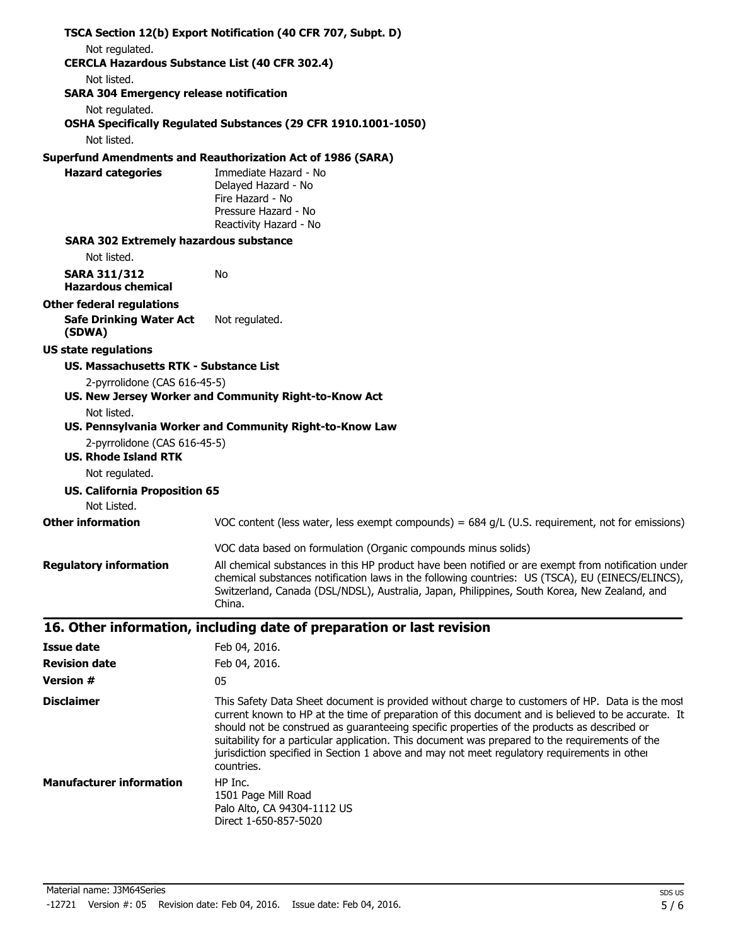|                                                                                       | TSCA Section 12(b) Export Notification (40 CFR 707, Subpt. D)                                                                                                                                                                                                                                                                                                                                                                                                                                                        |  |  |  |  |
|---------------------------------------------------------------------------------------|----------------------------------------------------------------------------------------------------------------------------------------------------------------------------------------------------------------------------------------------------------------------------------------------------------------------------------------------------------------------------------------------------------------------------------------------------------------------------------------------------------------------|--|--|--|--|
| Not regulated.                                                                        |                                                                                                                                                                                                                                                                                                                                                                                                                                                                                                                      |  |  |  |  |
|                                                                                       | <b>CERCLA Hazardous Substance List (40 CFR 302.4)</b>                                                                                                                                                                                                                                                                                                                                                                                                                                                                |  |  |  |  |
| Not listed.<br><b>SARA 304 Emergency release notification</b>                         |                                                                                                                                                                                                                                                                                                                                                                                                                                                                                                                      |  |  |  |  |
| Not regulated.                                                                        |                                                                                                                                                                                                                                                                                                                                                                                                                                                                                                                      |  |  |  |  |
|                                                                                       | OSHA Specifically Regulated Substances (29 CFR 1910.1001-1050)                                                                                                                                                                                                                                                                                                                                                                                                                                                       |  |  |  |  |
| Not listed.                                                                           |                                                                                                                                                                                                                                                                                                                                                                                                                                                                                                                      |  |  |  |  |
|                                                                                       | <b>Superfund Amendments and Reauthorization Act of 1986 (SARA)</b>                                                                                                                                                                                                                                                                                                                                                                                                                                                   |  |  |  |  |
| <b>Hazard categories</b>                                                              | Immediate Hazard - No<br>Delayed Hazard - No                                                                                                                                                                                                                                                                                                                                                                                                                                                                         |  |  |  |  |
|                                                                                       | Fire Hazard - No                                                                                                                                                                                                                                                                                                                                                                                                                                                                                                     |  |  |  |  |
|                                                                                       | Pressure Hazard - No                                                                                                                                                                                                                                                                                                                                                                                                                                                                                                 |  |  |  |  |
|                                                                                       | Reactivity Hazard - No                                                                                                                                                                                                                                                                                                                                                                                                                                                                                               |  |  |  |  |
| <b>SARA 302 Extremely hazardous substance</b>                                         |                                                                                                                                                                                                                                                                                                                                                                                                                                                                                                                      |  |  |  |  |
| Not listed.                                                                           |                                                                                                                                                                                                                                                                                                                                                                                                                                                                                                                      |  |  |  |  |
| <b>SARA 311/312</b><br><b>Hazardous chemical</b>                                      | No                                                                                                                                                                                                                                                                                                                                                                                                                                                                                                                   |  |  |  |  |
| <b>Other federal regulations</b>                                                      |                                                                                                                                                                                                                                                                                                                                                                                                                                                                                                                      |  |  |  |  |
| <b>Safe Drinking Water Act</b><br>(SDWA)                                              | Not regulated.                                                                                                                                                                                                                                                                                                                                                                                                                                                                                                       |  |  |  |  |
| <b>US state regulations</b>                                                           |                                                                                                                                                                                                                                                                                                                                                                                                                                                                                                                      |  |  |  |  |
| <b>US. Massachusetts RTK - Substance List</b>                                         |                                                                                                                                                                                                                                                                                                                                                                                                                                                                                                                      |  |  |  |  |
| 2-pyrrolidone (CAS 616-45-5)<br>US. New Jersey Worker and Community Right-to-Know Act |                                                                                                                                                                                                                                                                                                                                                                                                                                                                                                                      |  |  |  |  |
| Not listed.<br>US. Pennsylvania Worker and Community Right-to-Know Law                |                                                                                                                                                                                                                                                                                                                                                                                                                                                                                                                      |  |  |  |  |
| 2-pyrrolidone (CAS 616-45-5)                                                          |                                                                                                                                                                                                                                                                                                                                                                                                                                                                                                                      |  |  |  |  |
| <b>US. Rhode Island RTK</b>                                                           |                                                                                                                                                                                                                                                                                                                                                                                                                                                                                                                      |  |  |  |  |
| Not regulated.                                                                        |                                                                                                                                                                                                                                                                                                                                                                                                                                                                                                                      |  |  |  |  |
| <b>US. California Proposition 65</b><br>Not Listed.                                   |                                                                                                                                                                                                                                                                                                                                                                                                                                                                                                                      |  |  |  |  |
| <b>Other information</b>                                                              | VOC content (less water, less exempt compounds) = $684$ g/L (U.S. requirement, not for emissions)                                                                                                                                                                                                                                                                                                                                                                                                                    |  |  |  |  |
|                                                                                       | VOC data based on formulation (Organic compounds minus solids)                                                                                                                                                                                                                                                                                                                                                                                                                                                       |  |  |  |  |
| <b>Regulatory information</b>                                                         | All chemical substances in this HP product have been notified or are exempt from notification under<br>chemical substances notification laws in the following countries: US (TSCA), EU (EINECS/ELINCS),<br>Switzerland, Canada (DSL/NDSL), Australia, Japan, Philippines, South Korea, New Zealand, and<br>China.                                                                                                                                                                                                    |  |  |  |  |
|                                                                                       | 16. Other information, including date of preparation or last revision                                                                                                                                                                                                                                                                                                                                                                                                                                                |  |  |  |  |
| <b>Issue date</b>                                                                     | Feb 04, 2016.                                                                                                                                                                                                                                                                                                                                                                                                                                                                                                        |  |  |  |  |
| <b>Revision date</b>                                                                  | Feb 04, 2016.                                                                                                                                                                                                                                                                                                                                                                                                                                                                                                        |  |  |  |  |
| <b>Version #</b>                                                                      | 05                                                                                                                                                                                                                                                                                                                                                                                                                                                                                                                   |  |  |  |  |
| <b>Disclaimer</b>                                                                     | This Safety Data Sheet document is provided without charge to customers of HP. Data is the most<br>current known to HP at the time of preparation of this document and is believed to be accurate. It<br>should not be construed as guaranteeing specific properties of the products as described or<br>suitability for a particular application. This document was prepared to the requirements of the<br>jurisdiction specified in Section 1 above and may not meet regulatory requirements in other<br>countries. |  |  |  |  |
| <b>Manufacturer information</b>                                                       | HP Inc.<br>1501 Page Mill Road                                                                                                                                                                                                                                                                                                                                                                                                                                                                                       |  |  |  |  |